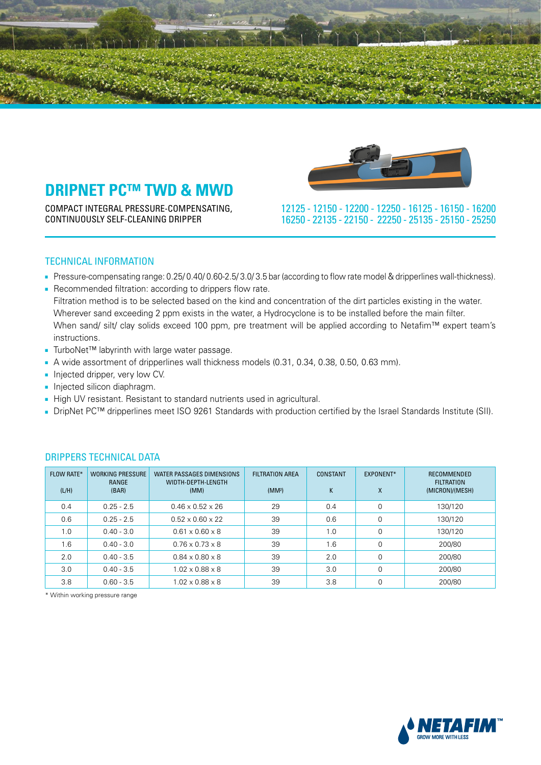

COMPACT INTEGRAL PRESSURE-COMPENSATING, CONTINUOUSLY SELF-CLEANING DRIPPER



 16200 - 16150 - 16125 - 12250 - 12200 - 12150 - 12125 25250 - 25150 - 25135 - 22250 - 22150 - 22135 - 16250

### TECHNICAL INFORMATION

- Pressure-compensating range: 0.25/ 0.40/ 0.60-2.5/ 3.0/ 3.5 bar (according to flow rate model & dripperlines wall-thickness).
- Recommended filtration: according to drippers flow rate. Filtration method is to be selected based on the kind and concentration of the dirt particles existing in the water. Wherever sand exceeding 2 ppm exists in the water, a Hydrocyclone is to be installed before the main filter. When sand/ silt/ clay solids exceed 100 ppm, pre treatment will be applied according to Netafim™ expert team's .instructions
- TurboNet™ labyrinth with large water passage.
- A wide assortment of dripperlines wall thickness models (0.31, 0.34, 0.38, 0.50, 0.63 mm).
- Injected dripper, very low CV.
- Injected silicon diaphragm.
- High UV resistant. Resistant to standard nutrients used in agricultural.
- DripNet PC™ dripperlines meet ISO 9261 Standards with production certified by the Israel Standards Institute (SII).

| <b>FLOW RATE*</b><br>(L/H) | <b>WORKING PRESSURE</b><br>RANGE<br>(BAR) | WATER PASSAGES DIMENSIONS<br>WIDTH-DEPTH-LENGTH<br>(MM) | <b>FILTRATION AREA</b><br>(MM <sup>2</sup> ) | CONSTANT<br>K | EXPONENT*<br>X | RECOMMENDED<br><b>FILTRATION</b><br>(MICRON)/(MESH) |
|----------------------------|-------------------------------------------|---------------------------------------------------------|----------------------------------------------|---------------|----------------|-----------------------------------------------------|
| 0.4                        | $0.25 - 2.5$                              | $0.46 \times 0.52 \times 26$                            | 29                                           | 0.4           | $\Omega$       | 130/120                                             |
| 0.6                        | $0.25 - 2.5$                              | $0.52 \times 0.60 \times 22$                            | 39                                           | 0.6           | $\Omega$       | 130/120                                             |
| 1.0                        | $0.40 - 3.0$                              | $0.61 \times 0.60 \times 8$                             | 39                                           | 1.0           | $\Omega$       | 130/120                                             |
| 1.6                        | $0.40 - 3.0$                              | $0.76 \times 0.73 \times 8$                             | 39                                           | 1.6           | 0              | 200/80                                              |
| 2.0                        | $0.40 - 3.5$                              | $0.84 \times 0.80 \times 8$                             | 39                                           | 2.0           | $\Omega$       | 200/80                                              |
| 3.0                        | $0.40 - 3.5$                              | $1.02 \times 0.88 \times 8$                             | 39                                           | 3.0           | $\Omega$       | 200/80                                              |
| 3.8                        | $0.60 - 3.5$                              | $1.02 \times 0.88 \times 8$                             | 39                                           | 3.8           | $\Omega$       | 200/80                                              |

### DRIPPERS TECHNICAL DATA

\* Within working pressure range

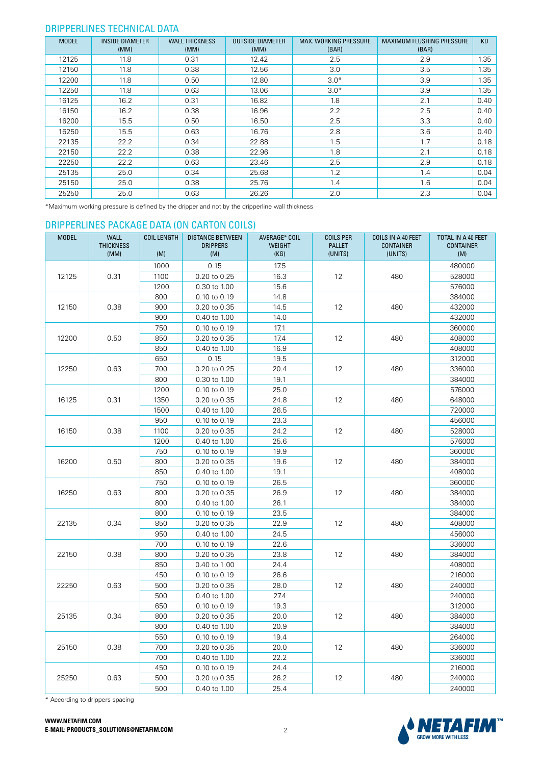#### DRIPPERLINES TECHNICAL DATA

| <b>MODEL</b> | <b>INSIDE DIAMETER</b><br>(MM) | <b>WALL THICKNESS</b><br>(MM) | <b>OUTSIDE DIAMETER</b><br>(MM) | <b>MAX. WORKING PRESSURE</b><br>(BAR) | <b>MAXIMUM FLUSHING PRESSURE</b><br>(BAR) | <b>KD</b> |
|--------------|--------------------------------|-------------------------------|---------------------------------|---------------------------------------|-------------------------------------------|-----------|
| 12125        | 11.8                           | 0.31                          | 12.42                           | 2.5                                   | 2.9                                       | 1.35      |
| 12150        | 11.8                           | 0.38                          | 12.56                           | 3.0                                   | 3.5                                       | 1.35      |
| 12200        | 11.8                           | 0.50                          | 12.80                           | $3.0*$                                | 3.9                                       | 1.35      |
| 12250        | 11.8                           | 0.63                          | 13.06                           | $3.0*$                                | 3.9                                       | 1.35      |
| 16125        | 16.2                           | 0.31                          | 16.82                           | 1.8                                   | 2.1                                       | 0.40      |
| 16150        | 16.2                           | 0.38                          | 16.96                           | 2.2                                   | 2.5                                       | 0.40      |
| 16200        | 15.5                           | 0.50                          | 16.50                           | 2.5                                   | 3.3                                       | 0.40      |
| 16250        | 15.5                           | 0.63                          | 16.76                           | 2.8                                   | 3.6                                       | 0.40      |
| 22135        | 22.2                           | 0.34                          | 22.88                           | 1.5                                   | 1.7                                       | 0.18      |
| 22150        | 22.2                           | 0.38                          | 22.96                           | 1.8                                   | 2.1                                       | 0.18      |
| 22250        | 22.2                           | 0.63                          | 23.46                           | 2.5                                   | 2.9                                       | 0.18      |
| 25135        | 25.0                           | 0.34                          | 25.68                           | 1.2                                   | 1.4                                       | 0.04      |
| 25150        | 25.0                           | 0.38                          | 25.76                           | 1.4                                   | 1.6                                       | 0.04      |
| 25250        | 25.0                           | 0.63                          | 26.26                           | 2.0                                   | 2.3                                       | 0.04      |

\*Maximum working pressure is defined by the dripper and not by the dripperline wall thickness

### DRIPPERLINES PACKAGE DATA (ON CARTON COILS)

| <b>MODEL</b> | <b>WALL</b><br><b>THICKNESS</b><br>(MM) | <b>COIL LENGTH</b><br>(M) | <b>DISTANCE BETWEEN</b><br><b>DRIPPERS</b><br>(M) | AVERAGE* COIL<br><b>WEIGHT</b><br>(KG) | <b>COILS PER</b><br><b>PALLET</b><br>(UNITS) | COILS IN A 40 FEET<br><b>CONTAINER</b><br>(UNITS) | TOTAL IN A 40 FEET<br><b>CONTAINER</b><br>(M) |
|--------------|-----------------------------------------|---------------------------|---------------------------------------------------|----------------------------------------|----------------------------------------------|---------------------------------------------------|-----------------------------------------------|
|              |                                         | 1000                      | 0.15                                              | 17.5                                   |                                              |                                                   | 480000                                        |
| 12125        | 0.31                                    | 1100                      | 0.20 to 0.25                                      | 16.3                                   | 12                                           | 480                                               | 528000                                        |
|              |                                         | 1200                      | 0.30 to 1.00                                      | 15.6                                   |                                              |                                                   | 576000                                        |
|              |                                         | 800                       | 0.10 to 0.19                                      | 14.8                                   |                                              |                                                   | 384000                                        |
| 12150        | 0.38                                    | 900                       | 0.20 to 0.35                                      | 14.5                                   | 12                                           | 480                                               | 432000                                        |
|              |                                         | 900                       | 0.40 to 1.00                                      | 14.0                                   |                                              |                                                   | 432000                                        |
|              |                                         | 750                       | 0.10 to 0.19                                      | 17.1                                   |                                              |                                                   | 360000                                        |
| 12200        | 0.50                                    | 850                       | 0.20 to 0.35                                      | 17.4                                   | 12                                           | 480                                               | 408000                                        |
|              |                                         | 850                       | 0.40 to 1.00                                      | 16.9                                   |                                              |                                                   | 408000                                        |
|              |                                         | 650                       | 0.15                                              | 19.5                                   |                                              |                                                   | 312000                                        |
| 12250        | 0.63                                    | 700                       | 0.20 to 0.25                                      | 20.4                                   | 12                                           | 480                                               | 336000                                        |
|              |                                         | 800                       | 0.30 to 1.00                                      | 19.1                                   |                                              |                                                   | 384000                                        |
|              |                                         | 1200                      | 0.10 to 0.19                                      | 25.0                                   |                                              |                                                   | 576000                                        |
| 16125        | 0.31                                    | 1350                      | 0.20 to 0.35                                      | 24.8                                   | 12                                           | 480                                               | 648000                                        |
|              |                                         | 1500                      | 0.40 to 1.00                                      | 26.5                                   |                                              |                                                   | 720000                                        |
|              |                                         | 950                       | 0.10 to 0.19                                      | 23.3                                   |                                              |                                                   | 456000                                        |
| 16150        | 0.38                                    | 1100                      | 0.20 to 0.35                                      | 24.2                                   | 12                                           | 480                                               | 528000                                        |
|              |                                         | 1200                      | 0.40 to 1.00                                      | 25.6                                   |                                              |                                                   | 576000                                        |
|              |                                         | 750                       | 0.10 to 0.19                                      | 19.9                                   |                                              |                                                   | 360000                                        |
| 16200        | 0.50                                    | 800                       | 0.20 to 0.35                                      | 19.6                                   | 12                                           | 480                                               | 384000                                        |
|              |                                         | 850                       | 0.40 to 1.00                                      | 19.1                                   |                                              |                                                   | 408000                                        |
|              |                                         | 750                       | 0.10 to 0.19                                      | 26.5                                   |                                              |                                                   | 360000                                        |
| 16250        | 0.63                                    | 800                       | 0.20 to 0.35                                      | 26.9                                   | 12                                           | 480                                               | 384000                                        |
|              |                                         | 800                       | 0.40 to 1.00                                      | 26.1                                   |                                              |                                                   | 384000                                        |
|              |                                         | 800                       | 0.10 to 0.19                                      | 23.5                                   |                                              |                                                   | 384000                                        |
| 22135        | 0.34                                    | 850                       | 0.20 to 0.35                                      | 22.9                                   | 12                                           | 480                                               | 408000                                        |
|              |                                         | 950                       | 0.40 to 1.00                                      | 24.5                                   |                                              |                                                   | 456000                                        |
|              |                                         | 700                       | 0.10 to 0.19                                      | 22.6                                   |                                              |                                                   | 336000                                        |
| 22150        | 0.38                                    | 800                       | 0.20 to 0.35                                      | 23.8                                   | 12                                           | 480                                               | 384000                                        |
|              |                                         | 850                       | 0.40 to 1.00                                      | 24.4                                   |                                              |                                                   | 408000                                        |
|              |                                         | 450                       | 0.10 to 0.19                                      | 26.6                                   |                                              |                                                   | 216000                                        |
| 22250        | 0.63                                    | 500                       | 0.20 to 0.35                                      | 28.0                                   | 12                                           | 480                                               | 240000                                        |
|              |                                         | 500                       | 0.40 to 1.00                                      | 27.4                                   |                                              |                                                   | 240000                                        |
|              |                                         | 650                       | 0.10 to 0.19                                      | 19.3                                   |                                              |                                                   | 312000                                        |
| 25135        | 0.34                                    | 800                       | 0.20 to 0.35                                      | 20.0                                   | 12                                           | 480                                               | 384000                                        |
|              |                                         | 800                       | 0.40 to 1.00                                      | 20.9                                   |                                              |                                                   | 384000                                        |
|              |                                         | 550                       | 0.10 to 0.19                                      | 19.4                                   |                                              |                                                   | 264000                                        |
| 25150        | 0.38                                    | 700                       | 0.20 to 0.35                                      | 20.0                                   | 12                                           | 480                                               | 336000                                        |
|              |                                         | 700                       | 0.40 to 1.00                                      | 22.2                                   |                                              |                                                   | 336000                                        |
|              |                                         | 450                       | 0.10 to 0.19                                      | 24.4                                   |                                              |                                                   | 216000                                        |
| 25250        | 0.63                                    | 500                       | 0.20 to 0.35                                      | 26.2                                   | 12                                           | 480                                               | 240000                                        |
|              |                                         | 500                       | 0.40 to 1.00                                      | 25.4                                   |                                              |                                                   | 240000                                        |

\* According to drippers spacing

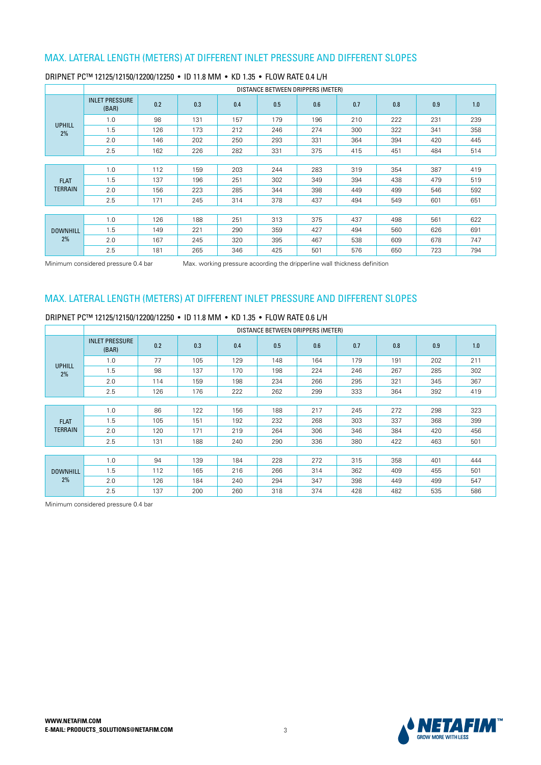|                 |                                |     |     |     | DISTANCE BETWEEN DRIPPERS (METER) |     |     |     |     |     |
|-----------------|--------------------------------|-----|-----|-----|-----------------------------------|-----|-----|-----|-----|-----|
|                 | <b>INLET PRESSURE</b><br>(BAR) | 0.2 | 0.3 | 0.4 | 0.5                               | 0.6 | 0.7 | 0.8 | 0.9 | 1.0 |
| <b>UPHILL</b>   | 1.0                            | 98  | 131 | 157 | 179                               | 196 | 210 | 222 | 231 | 239 |
| 2%              | 1.5                            | 126 | 173 | 212 | 246                               | 274 | 300 | 322 | 341 | 358 |
|                 | 2.0                            | 146 | 202 | 250 | 293                               | 331 | 364 | 394 | 420 | 445 |
|                 | 2.5                            | 162 | 226 | 282 | 331                               | 375 | 415 | 451 | 484 | 514 |
|                 |                                |     |     |     |                                   |     |     |     |     |     |
|                 | 1.0                            | 112 | 159 | 203 | 244                               | 283 | 319 | 354 | 387 | 419 |
| <b>FLAT</b>     | 1.5                            | 137 | 196 | 251 | 302                               | 349 | 394 | 438 | 479 | 519 |
| <b>TERRAIN</b>  | 2.0                            | 156 | 223 | 285 | 344                               | 398 | 449 | 499 | 546 | 592 |
|                 | 2.5                            | 171 | 245 | 314 | 378                               | 437 | 494 | 549 | 601 | 651 |
|                 |                                |     |     |     |                                   |     |     |     |     |     |
|                 | 1.0                            | 126 | 188 | 251 | 313                               | 375 | 437 | 498 | 561 | 622 |
| <b>DOWNHILL</b> | 1.5                            | 149 | 221 | 290 | 359                               | 427 | 494 | 560 | 626 | 691 |
| 2%              | 2.0                            | 167 | 245 | 320 | 395                               | 467 | 538 | 609 | 678 | 747 |
|                 | 2.5                            | 181 | 265 | 346 | 425                               | 501 | 576 | 650 | 723 | 794 |

#### DRIPNET PC™ 12125/12150/12200/12250 • ID 11.8 MM • KD 1.35 • FLOW RATE 0.4 L/H

Minimum considered pressure 0.4 bar Max. working pressure acoording the dripperline wall thickness definition

## MAX. LATERAL LENGTH (METERS) AT DIFFERENT INLET PRESSURE AND DIFFERENT SLOPES

DRIPNET PC™ 12125/12150/12200/12250 • ID 11.8 MM • KD 1.35 • FLOW RATE 0.6 L/H

|                 |                                |     |     |     |     | DISTANCE BETWEEN DRIPPERS (METER) |     |     |     |     |
|-----------------|--------------------------------|-----|-----|-----|-----|-----------------------------------|-----|-----|-----|-----|
|                 | <b>INLET PRESSURE</b><br>(BAR) | 0.2 | 0.3 | 0.4 | 0.5 | 0.6                               | 0.7 | 0.8 | 0.9 | 1.0 |
| <b>UPHILL</b>   | 1.0                            | 77  | 105 | 129 | 148 | 164                               | 179 | 191 | 202 | 211 |
| 2%              | 1.5                            | 98  | 137 | 170 | 198 | 224                               | 246 | 267 | 285 | 302 |
|                 | 2.0                            | 114 | 159 | 198 | 234 | 266                               | 295 | 321 | 345 | 367 |
|                 | 2.5                            | 126 | 176 | 222 | 262 | 299                               | 333 | 364 | 392 | 419 |
|                 |                                |     |     |     |     |                                   |     |     |     |     |
|                 | 1.0                            | 86  | 122 | 156 | 188 | 217                               | 245 | 272 | 298 | 323 |
| <b>FLAT</b>     | 1.5                            | 105 | 151 | 192 | 232 | 268                               | 303 | 337 | 368 | 399 |
| <b>TERRAIN</b>  | 2.0                            | 120 | 171 | 219 | 264 | 306                               | 346 | 384 | 420 | 456 |
|                 | 2.5                            | 131 | 188 | 240 | 290 | 336                               | 380 | 422 | 463 | 501 |
|                 |                                |     |     |     |     |                                   |     |     |     |     |
|                 | 1.0                            | 94  | 139 | 184 | 228 | 272                               | 315 | 358 | 401 | 444 |
| <b>DOWNHILL</b> | 1.5                            | 112 | 165 | 216 | 266 | 314                               | 362 | 409 | 455 | 501 |
| 2%              | 2.0                            | 126 | 184 | 240 | 294 | 347                               | 398 | 449 | 499 | 547 |
|                 | 2.5                            | 137 | 200 | 260 | 318 | 374                               | 428 | 482 | 535 | 586 |

Minimum considered pressure 0.4 bar

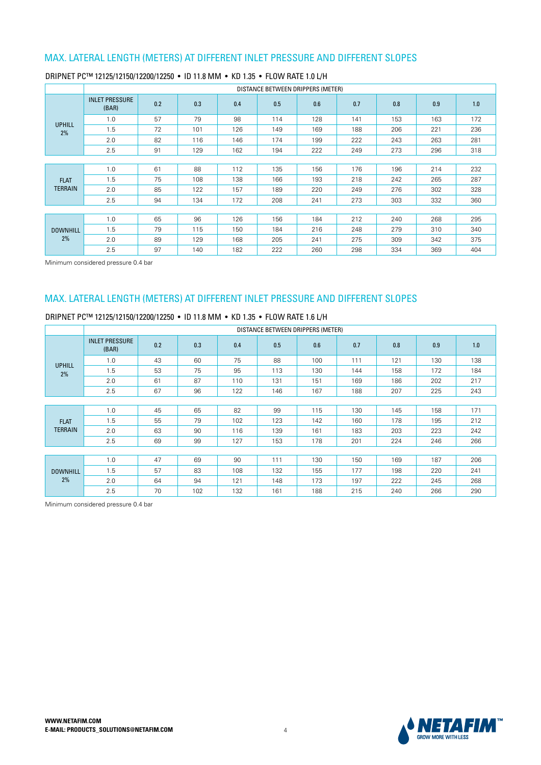|                 |                                |     |     |     | DISTANCE BETWEEN DRIPPERS (METER) |     |     |     |     |     |
|-----------------|--------------------------------|-----|-----|-----|-----------------------------------|-----|-----|-----|-----|-----|
|                 | <b>INLET PRESSURE</b><br>(BAR) | 0.2 | 0.3 | 0.4 | 0.5                               | 0.6 | 0.7 | 0.8 | 0.9 | 1.0 |
| <b>UPHILL</b>   | 1.0                            | 57  | 79  | 98  | 114                               | 128 | 141 | 153 | 163 | 172 |
| 2%              | 1.5                            | 72  | 101 | 126 | 149                               | 169 | 188 | 206 | 221 | 236 |
|                 | 2.0                            | 82  | 116 | 146 | 174                               | 199 | 222 | 243 | 263 | 281 |
|                 | 2.5                            | 91  | 129 | 162 | 194                               | 222 | 249 | 273 | 296 | 318 |
|                 |                                |     |     |     |                                   |     |     |     |     |     |
|                 | 1.0                            | 61  | 88  | 112 | 135                               | 156 | 176 | 196 | 214 | 232 |
| <b>FLAT</b>     | 1.5                            | 75  | 108 | 138 | 166                               | 193 | 218 | 242 | 265 | 287 |
| <b>TERRAIN</b>  | 2.0                            | 85  | 122 | 157 | 189                               | 220 | 249 | 276 | 302 | 328 |
|                 | 2.5                            | 94  | 134 | 172 | 208                               | 241 | 273 | 303 | 332 | 360 |
|                 |                                |     |     |     |                                   |     |     |     |     |     |
|                 | 1.0                            | 65  | 96  | 126 | 156                               | 184 | 212 | 240 | 268 | 295 |
| <b>DOWNHILL</b> | 1.5                            | 79  | 115 | 150 | 184                               | 216 | 248 | 279 | 310 | 340 |
| 2%              | 2.0                            | 89  | 129 | 168 | 205                               | 241 | 275 | 309 | 342 | 375 |
|                 | 2.5                            | 97  | 140 | 182 | 222                               | 260 | 298 | 334 | 369 | 404 |

#### DRIPNET PC™ 12125/12150/12200/12250 • ID 11.8 MM • KD 1.35 • FLOW RATE 1.0 L/H

Minimum considered pressure 0.4 bar

# MAX. LATERAL LENGTH (METERS) AT DIFFERENT INLET PRESSURE AND DIFFERENT SLOPES

DRIPNET PC™ 12125/12150/12200/12250 • ID 11.8 MM • KD 1.35 • FLOW BATE 1.6 L/H

|                     |                                |     |     |     |     | DISTANCE BETWEEN DRIPPERS (METER) |     |     |     |     |
|---------------------|--------------------------------|-----|-----|-----|-----|-----------------------------------|-----|-----|-----|-----|
|                     | <b>INLET PRESSURE</b><br>(BAR) | 0.2 | 0.3 | 0.4 | 0.5 | 0.6                               | 0.7 | 0.8 | 0.9 | 1.0 |
|                     | 1.0                            | 43  | 60  | 75  | 88  | 100                               | 111 | 121 | 130 | 138 |
| <b>UPHILL</b><br>2% | 1.5                            | 53  | 75  | 95  | 113 | 130                               | 144 | 158 | 172 | 184 |
|                     | 2.0                            | 61  | 87  | 110 | 131 | 151                               | 169 | 186 | 202 | 217 |
|                     | 2.5                            | 67  | 96  | 122 | 146 | 167                               | 188 | 207 | 225 | 243 |
|                     |                                |     |     |     |     |                                   |     |     |     |     |
|                     | 1.0                            | 45  | 65  | 82  | 99  | 115                               | 130 | 145 | 158 | 171 |
| <b>FLAT</b>         | 1.5                            | 55  | 79  | 102 | 123 | 142                               | 160 | 178 | 195 | 212 |
| <b>TERRAIN</b>      | 2.0                            | 63  | 90  | 116 | 139 | 161                               | 183 | 203 | 223 | 242 |
|                     | 2.5                            | 69  | 99  | 127 | 153 | 178                               | 201 | 224 | 246 | 266 |
|                     |                                |     |     |     |     |                                   |     |     |     |     |
|                     | 1.0                            | 47  | 69  | 90  | 111 | 130                               | 150 | 169 | 187 | 206 |
| <b>DOWNHILL</b>     | 1.5                            | 57  | 83  | 108 | 132 | 155                               | 177 | 198 | 220 | 241 |
| 2%                  | 2.0                            | 64  | 94  | 121 | 148 | 173                               | 197 | 222 | 245 | 268 |
|                     | 2.5                            | 70  | 102 | 132 | 161 | 188                               | 215 | 240 | 266 | 290 |

Minimum considered pressure 0.4 bar

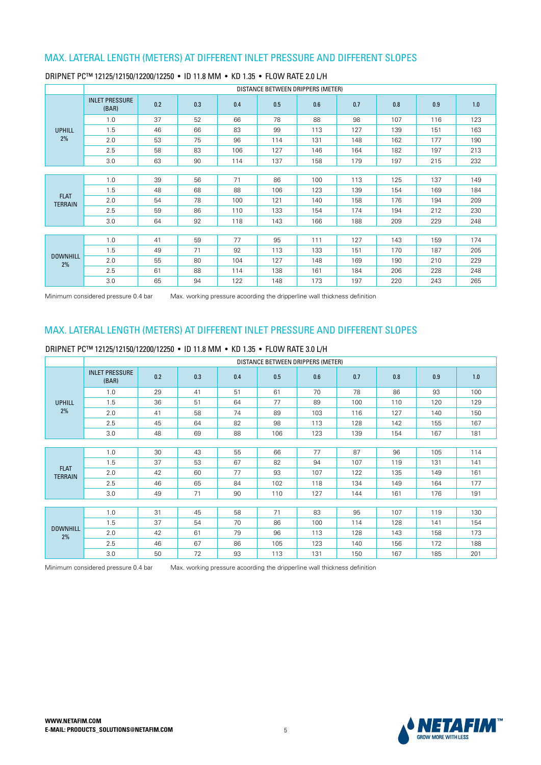|                       |                                |     |     |     | DISTANCE BETWEEN DRIPPERS (METER) |     |     |     |     |     |
|-----------------------|--------------------------------|-----|-----|-----|-----------------------------------|-----|-----|-----|-----|-----|
|                       | <b>INLET PRESSURE</b><br>(BAR) | 0.2 | 0.3 | 0.4 | 0.5                               | 0.6 | 0.7 | 0.8 | 0.9 | 1.0 |
|                       | 1.0                            | 37  | 52  | 66  | 78                                | 88  | 98  | 107 | 116 | 123 |
| <b>UPHILL</b>         | 1.5                            | 46  | 66  | 83  | 99                                | 113 | 127 | 139 | 151 | 163 |
| 2%                    | 2.0                            | 53  | 75  | 96  | 114                               | 131 | 148 | 162 | 177 | 190 |
|                       | 2.5                            | 58  | 83  | 106 | 127                               | 146 | 164 | 182 | 197 | 213 |
|                       | 3.0                            | 63  | 90  | 114 | 137                               | 158 | 179 | 197 | 215 | 232 |
|                       |                                |     |     |     |                                   |     |     |     |     |     |
|                       | 1.0                            | 39  | 56  | 71  | 86                                | 100 | 113 | 125 | 137 | 149 |
| <b>FLAT</b>           | 1.5                            | 48  | 68  | 88  | 106                               | 123 | 139 | 154 | 169 | 184 |
| <b>TERRAIN</b>        | 2.0                            | 54  | 78  | 100 | 121                               | 140 | 158 | 176 | 194 | 209 |
|                       | 2.5                            | 59  | 86  | 110 | 133                               | 154 | 174 | 194 | 212 | 230 |
|                       | 3.0                            | 64  | 92  | 118 | 143                               | 166 | 188 | 209 | 229 | 248 |
|                       |                                |     |     |     |                                   |     |     |     |     |     |
|                       | 1.0                            | 41  | 59  | 77  | 95                                | 111 | 127 | 143 | 159 | 174 |
|                       | 1.5                            | 49  | 71  | 92  | 113                               | 133 | 151 | 170 | 187 | 205 |
| <b>DOWNHILL</b><br>2% | 2.0                            | 55  | 80  | 104 | 127                               | 148 | 169 | 190 | 210 | 229 |
|                       | 2.5                            | 61  | 88  | 114 | 138                               | 161 | 184 | 206 | 228 | 248 |
|                       | 3.0                            | 65  | 94  | 122 | 148                               | 173 | 197 | 220 | 243 | 265 |

#### DRIPNET PC™ 12125/12150/12200/12250 • ID 11.8 MM • KD 1.35 • FLOW RATE 2.0 L/H

Minimum considered pressure 0.4 bar Max. working pressure acoording the dripperline wall thickness definition

### MAX. LATERAL LENGTH (METERS) AT DIFFERENT INLET PRESSURE AND DIFFERENT SLOPES

#### DRIPNET PC™ 12125/12150/12200/12250 • ID 11.8 MM • KD 1.35 • FLOW RATE 3.0 L/H

|                       |                                |     |     |     | DISTANCE BETWEEN DRIPPERS (METER) |     |     |     |     |     |
|-----------------------|--------------------------------|-----|-----|-----|-----------------------------------|-----|-----|-----|-----|-----|
|                       | <b>INLET PRESSURE</b><br>(BAR) | 0.2 | 0.3 | 0.4 | 0.5                               | 0.6 | 0.7 | 0.8 | 0.9 | 1.0 |
|                       | 1.0                            | 29  | 41  | 51  | 61                                | 70  | 78  | 86  | 93  | 100 |
| <b>UPHILL</b>         | 1.5                            | 36  | 51  | 64  | 77                                | 89  | 100 | 110 | 120 | 129 |
| 2%                    | 2.0                            | 41  | 58  | 74  | 89                                | 103 | 116 | 127 | 140 | 150 |
|                       | 2.5                            | 45  | 64  | 82  | 98                                | 113 | 128 | 142 | 155 | 167 |
|                       | 3.0                            | 48  | 69  | 88  | 106                               | 123 | 139 | 154 | 167 | 181 |
|                       |                                |     |     |     |                                   |     |     |     |     |     |
|                       | 1.0                            | 30  | 43  | 55  | 66                                | 77  | 87  | 96  | 105 | 114 |
| <b>FLAT</b>           | 1.5                            | 37  | 53  | 67  | 82                                | 94  | 107 | 119 | 131 | 141 |
| <b>TERRAIN</b>        | 2.0                            | 42  | 60  | 77  | 93                                | 107 | 122 | 135 | 149 | 161 |
|                       | 2.5                            | 46  | 65  | 84  | 102                               | 118 | 134 | 149 | 164 | 177 |
|                       | 3.0                            | 49  | 71  | 90  | 110                               | 127 | 144 | 161 | 176 | 191 |
|                       |                                |     |     |     |                                   |     |     |     |     |     |
|                       | 1.0                            | 31  | 45  | 58  | 71                                | 83  | 95  | 107 | 119 | 130 |
|                       | 1.5                            | 37  | 54  | 70  | 86                                | 100 | 114 | 128 | 141 | 154 |
| <b>DOWNHILL</b><br>2% | 2.0                            | 42  | 61  | 79  | 96                                | 113 | 128 | 143 | 158 | 173 |
|                       | 2.5                            | 46  | 67  | 86  | 105                               | 123 | 140 | 156 | 172 | 188 |
|                       | 3.0                            | 50  | 72  | 93  | 113                               | 131 | 150 | 167 | 185 | 201 |

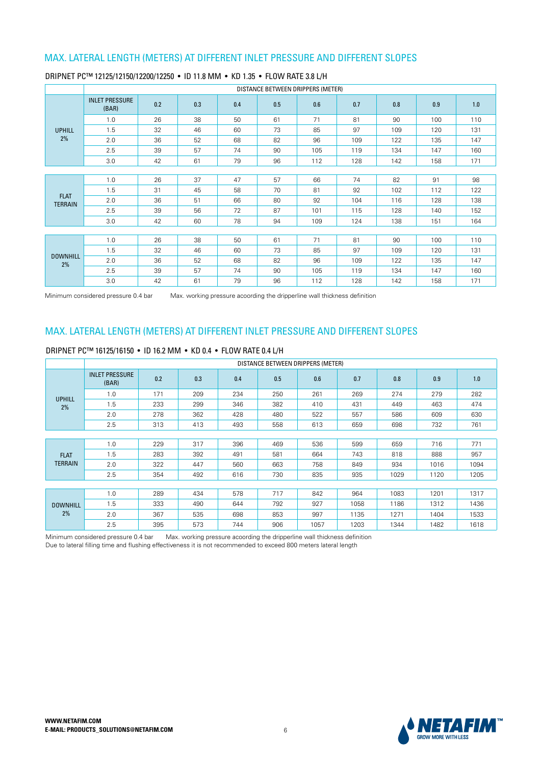|                       |                                |     |     |     |     | DISTANCE BETWEEN DRIPPERS (METER) |     |     |     |     |
|-----------------------|--------------------------------|-----|-----|-----|-----|-----------------------------------|-----|-----|-----|-----|
|                       | <b>INLET PRESSURE</b><br>(BAR) | 0.2 | 0.3 | 0.4 | 0.5 | 0.6                               | 0.7 | 0.8 | 0.9 | 1.0 |
|                       | 1.0                            | 26  | 38  | 50  | 61  | 71                                | 81  | 90  | 100 | 110 |
| <b>UPHILL</b>         | 1.5                            | 32  | 46  | 60  | 73  | 85                                | 97  | 109 | 120 | 131 |
| 2%                    | 2.0                            | 36  | 52  | 68  | 82  | 96                                | 109 | 122 | 135 | 147 |
|                       | 2.5                            | 39  | 57  | 74  | 90  | 105                               | 119 | 134 | 147 | 160 |
|                       | 3.0                            | 42  | 61  | 79  | 96  | 112                               | 128 | 142 | 158 | 171 |
|                       |                                |     |     |     |     |                                   |     |     |     |     |
|                       | 1.0                            | 26  | 37  | 47  | 57  | 66                                | 74  | 82  | 91  | 98  |
| <b>FLAT</b>           | 1.5                            | 31  | 45  | 58  | 70  | 81                                | 92  | 102 | 112 | 122 |
| <b>TERRAIN</b>        | 2.0                            | 36  | 51  | 66  | 80  | 92                                | 104 | 116 | 128 | 138 |
|                       | 2.5                            | 39  | 56  | 72  | 87  | 101                               | 115 | 128 | 140 | 152 |
|                       | 3.0                            | 42  | 60  | 78  | 94  | 109                               | 124 | 138 | 151 | 164 |
|                       |                                |     |     |     |     |                                   |     |     |     |     |
|                       | 1.0                            | 26  | 38  | 50  | 61  | 71                                | 81  | 90  | 100 | 110 |
|                       | 1.5                            | 32  | 46  | 60  | 73  | 85                                | 97  | 109 | 120 | 131 |
| <b>DOWNHILL</b><br>2% | 2.0                            | 36  | 52  | 68  | 82  | 96                                | 109 | 122 | 135 | 147 |
|                       | 2.5                            | 39  | 57  | 74  | 90  | 105                               | 119 | 134 | 147 | 160 |
|                       | 3.0                            | 42  | 61  | 79  | 96  | 112                               | 128 | 142 | 158 | 171 |

#### DRIPNET PC™ 12125/12150/12200/12250 • ID 11.8 MM • KD 1.35 • FLOW RATE 3.8 L/H

Minimum considered pressure 0.4 bar Max. working pressure acoording the dripperline wall thickness definition

### MAX. LATERAL LENGTH (METERS) AT DIFFERENT INLET PRESSURE AND DIFFERENT SLOPES

### DRIPNET PC™ 16125/16150 · ID 16.2 MM · KD 0.4 · FLOW RATE 0.4 L/H

|                 |                                |     |     |     | DISTANCE BETWEEN DRIPPERS (METER) |      |      |      |      |      |
|-----------------|--------------------------------|-----|-----|-----|-----------------------------------|------|------|------|------|------|
|                 | <b>INLET PRESSURE</b><br>(BAR) | 0.2 | 0.3 | 0.4 | 0.5                               | 0.6  | 0.7  | 0.8  | 0.9  | 1.0  |
| <b>UPHILL</b>   | 1.0                            | 171 | 209 | 234 | 250                               | 261  | 269  | 274  | 279  | 282  |
| 2%              | 1.5                            | 233 | 299 | 346 | 382                               | 410  | 431  | 449  | 463  | 474  |
|                 | 2.0                            | 278 | 362 | 428 | 480                               | 522  | 557  | 586  | 609  | 630  |
|                 | 2.5                            | 313 | 413 | 493 | 558                               | 613  | 659  | 698  | 732  | 761  |
|                 |                                |     |     |     |                                   |      |      |      |      |      |
|                 | 1.0                            | 229 | 317 | 396 | 469                               | 536  | 599  | 659  | 716  | 771  |
| <b>FLAT</b>     | 1.5                            | 283 | 392 | 491 | 581                               | 664  | 743  | 818  | 888  | 957  |
| <b>TERRAIN</b>  | 2.0                            | 322 | 447 | 560 | 663                               | 758  | 849  | 934  | 1016 | 1094 |
|                 | 2.5                            | 354 | 492 | 616 | 730                               | 835  | 935  | 1029 | 1120 | 1205 |
|                 |                                |     |     |     |                                   |      |      |      |      |      |
|                 | 1.0                            | 289 | 434 | 578 | 717                               | 842  | 964  | 1083 | 1201 | 1317 |
| <b>DOWNHILL</b> | 1.5                            | 333 | 490 | 644 | 792                               | 927  | 1058 | 1186 | 1312 | 1436 |
| 2%              | 2.0                            | 367 | 535 | 698 | 853                               | 997  | 1135 | 1271 | 1404 | 1533 |
|                 | 2.5                            | 395 | 573 | 744 | 906                               | 1057 | 1203 | 1344 | 1482 | 1618 |

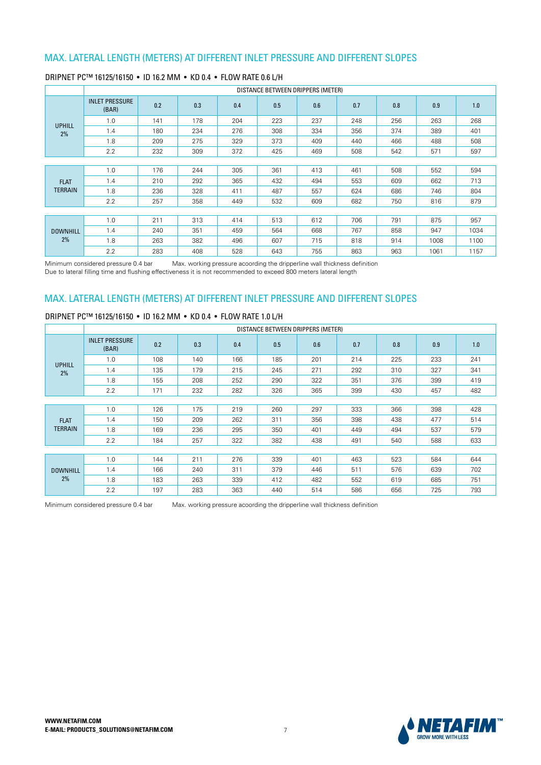|                 |                                |     |     |     | DISTANCE BETWEEN DRIPPERS (METER) |     |     |     |      |      |
|-----------------|--------------------------------|-----|-----|-----|-----------------------------------|-----|-----|-----|------|------|
|                 | <b>INLET PRESSURE</b><br>(BAR) | 0.2 | 0.3 | 0.4 | 0.5                               | 0.6 | 0.7 | 0.8 | 0.9  | 1.0  |
| <b>UPHILL</b>   | 1.0                            | 141 | 178 | 204 | 223                               | 237 | 248 | 256 | 263  | 268  |
| 2%              | 1.4                            | 180 | 234 | 276 | 308                               | 334 | 356 | 374 | 389  | 401  |
|                 | 1.8                            | 209 | 275 | 329 | 373                               | 409 | 440 | 466 | 488  | 508  |
|                 | 2.2                            | 232 | 309 | 372 | 425                               | 469 | 508 | 542 | 571  | 597  |
|                 |                                |     |     |     |                                   |     |     |     |      |      |
|                 | 1.0                            | 176 | 244 | 305 | 361                               | 413 | 461 | 508 | 552  | 594  |
| <b>FLAT</b>     | 1.4                            | 210 | 292 | 365 | 432                               | 494 | 553 | 609 | 662  | 713  |
| <b>TERRAIN</b>  | 1.8                            | 236 | 328 | 411 | 487                               | 557 | 624 | 686 | 746  | 804  |
|                 | 2.2                            | 257 | 358 | 449 | 532                               | 609 | 682 | 750 | 816  | 879  |
|                 |                                |     |     |     |                                   |     |     |     |      |      |
|                 | 1.0                            | 211 | 313 | 414 | 513                               | 612 | 706 | 791 | 875  | 957  |
| <b>DOWNHILL</b> | 1.4                            | 240 | 351 | 459 | 564                               | 668 | 767 | 858 | 947  | 1034 |
| 2%              | 1.8                            | 263 | 382 | 496 | 607                               | 715 | 818 | 914 | 1008 | 1100 |
|                 | 2.2                            | 283 | 408 | 528 | 643                               | 755 | 863 | 963 | 1061 | 1157 |

#### DRIPNET PC™ 16125/16150 · ID 16.2 MM · KD 0.4 · FLOW RATE 0.6 L/H

Minimum considered pressure 0.4 bar Max. working pressure acoording the dripperline wall thickness definition Due to lateral filling time and flushing effectiveness it is not recommended to exceed 800 meters lateral length

# MAX. LATERAL LENGTH (METERS) AT DIFFERENT INLET PRESSURE AND DIFFERENT SLOPES

#### DRIPNET PC™ 16125/16150 · ID 16.2 MM · KD 0.4 · FLOW RATE 1.0 L/H

|                 |                                |     |     |     | DISTANCE BETWEEN DRIPPERS (METER) |     |     |     |     |     |
|-----------------|--------------------------------|-----|-----|-----|-----------------------------------|-----|-----|-----|-----|-----|
|                 | <b>INLET PRESSURE</b><br>(BAR) | 0.2 | 0.3 | 0.4 | 0.5                               | 0.6 | 0.7 | 0.8 | 0.9 | 1.0 |
| <b>UPHILL</b>   | 1.0                            | 108 | 140 | 166 | 185                               | 201 | 214 | 225 | 233 | 241 |
| 2%              | 1.4                            | 135 | 179 | 215 | 245                               | 271 | 292 | 310 | 327 | 341 |
|                 | 1.8                            | 155 | 208 | 252 | 290                               | 322 | 351 | 376 | 399 | 419 |
|                 | 2.2                            | 171 | 232 | 282 | 326                               | 365 | 399 | 430 | 457 | 482 |
|                 |                                |     |     |     |                                   |     |     |     |     |     |
|                 | 1.0                            | 126 | 175 | 219 | 260                               | 297 | 333 | 366 | 398 | 428 |
| <b>FLAT</b>     | 1.4                            | 150 | 209 | 262 | 311                               | 356 | 398 | 438 | 477 | 514 |
| <b>TERRAIN</b>  | 1.8                            | 169 | 236 | 295 | 350                               | 401 | 449 | 494 | 537 | 579 |
|                 | 2.2                            | 184 | 257 | 322 | 382                               | 438 | 491 | 540 | 588 | 633 |
|                 |                                |     |     |     |                                   |     |     |     |     |     |
|                 | 1.0                            | 144 | 211 | 276 | 339                               | 401 | 463 | 523 | 584 | 644 |
| <b>DOWNHILL</b> | 1.4                            | 166 | 240 | 311 | 379                               | 446 | 511 | 576 | 639 | 702 |
| 2%              | 1.8                            | 183 | 263 | 339 | 412                               | 482 | 552 | 619 | 685 | 751 |
|                 | 2.2                            | 197 | 283 | 363 | 440                               | 514 | 586 | 656 | 725 | 793 |

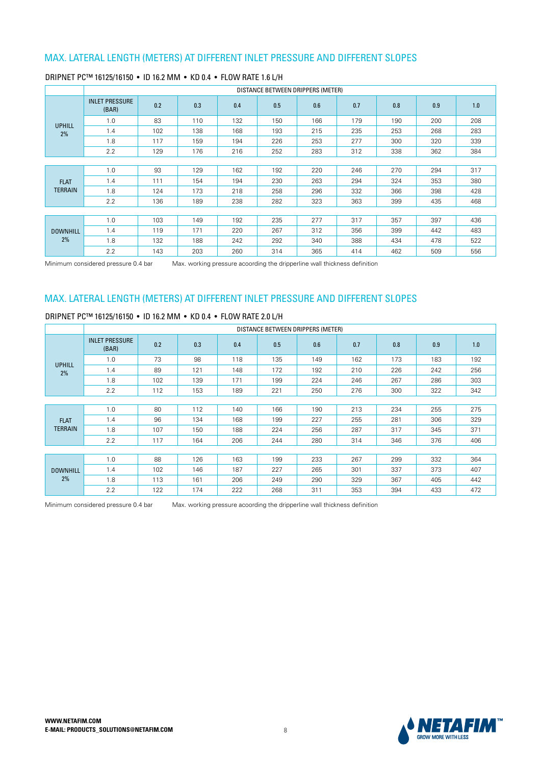|                 |                                |     |     |     | DISTANCE BETWEEN DRIPPERS (METER) |     |     |     |     |     |
|-----------------|--------------------------------|-----|-----|-----|-----------------------------------|-----|-----|-----|-----|-----|
|                 | <b>INLET PRESSURE</b><br>(BAR) | 0.2 | 0.3 | 0.4 | 0.5                               | 0.6 | 0.7 | 0.8 | 0.9 | 1.0 |
| <b>UPHILL</b>   | 1.0                            | 83  | 110 | 132 | 150                               | 166 | 179 | 190 | 200 | 208 |
| 2%              | 1.4                            | 102 | 138 | 168 | 193                               | 215 | 235 | 253 | 268 | 283 |
|                 | 1.8                            | 117 | 159 | 194 | 226                               | 253 | 277 | 300 | 320 | 339 |
|                 | 2.2                            | 129 | 176 | 216 | 252                               | 283 | 312 | 338 | 362 | 384 |
|                 |                                |     |     |     |                                   |     |     |     |     |     |
|                 | 1.0                            | 93  | 129 | 162 | 192                               | 220 | 246 | 270 | 294 | 317 |
| <b>FLAT</b>     | 1.4                            | 111 | 154 | 194 | 230                               | 263 | 294 | 324 | 353 | 380 |
| <b>TERRAIN</b>  | 1.8                            | 124 | 173 | 218 | 258                               | 296 | 332 | 366 | 398 | 428 |
|                 | 2.2                            | 136 | 189 | 238 | 282                               | 323 | 363 | 399 | 435 | 468 |
|                 |                                |     |     |     |                                   |     |     |     |     |     |
|                 | 1.0                            | 103 | 149 | 192 | 235                               | 277 | 317 | 357 | 397 | 436 |
| <b>DOWNHILL</b> | 1.4                            | 119 | 171 | 220 | 267                               | 312 | 356 | 399 | 442 | 483 |
| 2%              | 1.8                            | 132 | 188 | 242 | 292                               | 340 | 388 | 434 | 478 | 522 |
|                 | 2.2                            | 143 | 203 | 260 | 314                               | 365 | 414 | 462 | 509 | 556 |

#### DRIPNET PC™ 16125/16150 · ID 16.2 MM · KD 0.4 · FLOW RATE 1.6 L/H

Minimum considered pressure 0.4 bar Max. working pressure acoording the dripperline wall thickness definition

### MAX. LATERAL LENGTH (METERS) AT DIFFERENT INLET PRESSURE AND DIFFERENT SLOPES

### DRIPNET PC™ 16125/16150 · ID 16.2 MM · KD 0.4 · FLOW RATE 2.0 L/H

|                 |                                |     |     |     |     | DISTANCE BETWEEN DRIPPERS (METER) |     |     |     |     |
|-----------------|--------------------------------|-----|-----|-----|-----|-----------------------------------|-----|-----|-----|-----|
|                 | <b>INLET PRESSURE</b><br>(BAR) | 0.2 | 0.3 | 0.4 | 0.5 | 0.6                               | 0.7 | 0.8 | 0.9 | 1.0 |
| <b>UPHILL</b>   | 1.0                            | 73  | 98  | 118 | 135 | 149                               | 162 | 173 | 183 | 192 |
| 2%              | 1.4                            | 89  | 121 | 148 | 172 | 192                               | 210 | 226 | 242 | 256 |
|                 | 1.8                            | 102 | 139 | 171 | 199 | 224                               | 246 | 267 | 286 | 303 |
|                 | 2.2                            | 112 | 153 | 189 | 221 | 250                               | 276 | 300 | 322 | 342 |
|                 |                                |     |     |     |     |                                   |     |     |     |     |
|                 | 1.0                            | 80  | 112 | 140 | 166 | 190                               | 213 | 234 | 255 | 275 |
| <b>FLAT</b>     | 1.4                            | 96  | 134 | 168 | 199 | 227                               | 255 | 281 | 306 | 329 |
| <b>TERRAIN</b>  | 1.8                            | 107 | 150 | 188 | 224 | 256                               | 287 | 317 | 345 | 371 |
|                 | 2.2                            | 117 | 164 | 206 | 244 | 280                               | 314 | 346 | 376 | 406 |
|                 |                                |     |     |     |     |                                   |     |     |     |     |
|                 | 1.0                            | 88  | 126 | 163 | 199 | 233                               | 267 | 299 | 332 | 364 |
| <b>DOWNHILL</b> | 1.4                            | 102 | 146 | 187 | 227 | 265                               | 301 | 337 | 373 | 407 |
| 2%              | 1.8                            | 113 | 161 | 206 | 249 | 290                               | 329 | 367 | 405 | 442 |
|                 | 2.2                            | 122 | 174 | 222 | 268 | 311                               | 353 | 394 | 433 | 472 |



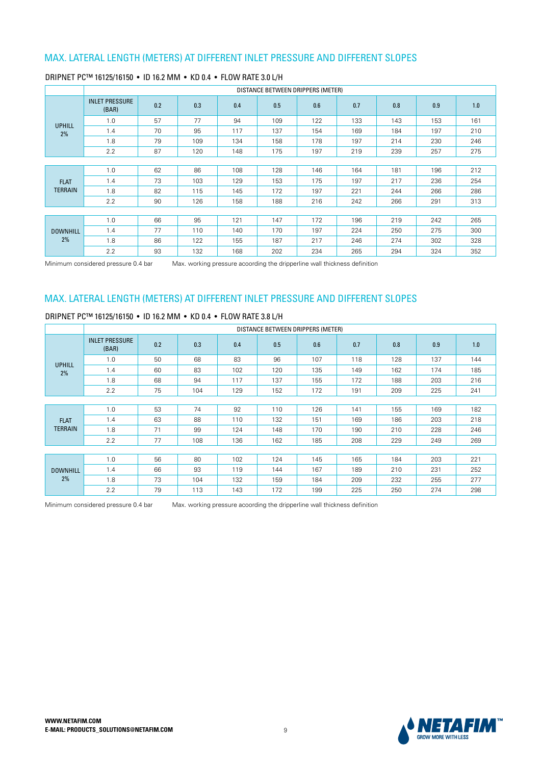|                 |                                |     |     |     | DISTANCE BETWEEN DRIPPERS (METER) |     |     |     |     |     |
|-----------------|--------------------------------|-----|-----|-----|-----------------------------------|-----|-----|-----|-----|-----|
|                 | <b>INLET PRESSURE</b><br>(BAR) | 0.2 | 0.3 | 0.4 | 0.5                               | 0.6 | 0.7 | 0.8 | 0.9 | 1.0 |
| <b>UPHILL</b>   | 1.0                            | 57  | 77  | 94  | 109                               | 122 | 133 | 143 | 153 | 161 |
| 2%              | 1.4                            | 70  | 95  | 117 | 137                               | 154 | 169 | 184 | 197 | 210 |
|                 | 1.8                            | 79  | 109 | 134 | 158                               | 178 | 197 | 214 | 230 | 246 |
|                 | 2.2                            | 87  | 120 | 148 | 175                               | 197 | 219 | 239 | 257 | 275 |
|                 |                                |     |     |     |                                   |     |     |     |     |     |
|                 | 1.0                            | 62  | 86  | 108 | 128                               | 146 | 164 | 181 | 196 | 212 |
| <b>FLAT</b>     | 1.4                            | 73  | 103 | 129 | 153                               | 175 | 197 | 217 | 236 | 254 |
| <b>TERRAIN</b>  | 1.8                            | 82  | 115 | 145 | 172                               | 197 | 221 | 244 | 266 | 286 |
|                 | 2.2                            | 90  | 126 | 158 | 188                               | 216 | 242 | 266 | 291 | 313 |
|                 |                                |     |     |     |                                   |     |     |     |     |     |
|                 | 1.0                            | 66  | 95  | 121 | 147                               | 172 | 196 | 219 | 242 | 265 |
| <b>DOWNHILL</b> | 1.4                            | 77  | 110 | 140 | 170                               | 197 | 224 | 250 | 275 | 300 |
| 2%              | 1.8                            | 86  | 122 | 155 | 187                               | 217 | 246 | 274 | 302 | 328 |
|                 | 2.2                            | 93  | 132 | 168 | 202                               | 234 | 265 | 294 | 324 | 352 |

#### DRIPNET PC™ 16125/16150 · ID 16.2 MM · KD 0.4 · FLOW RATE 3.0 L/H

Minimum considered pressure 0.4 bar Max. working pressure acoording the dripperline wall thickness definition

### MAX. LATERAL LENGTH (METERS) AT DIFFERENT INLET PRESSURE AND DIFFERENT SLOPES

### DRIPNET PC™ 16125/16150 · ID 16.2 MM · KD 0.4 · FLOW RATE 3.8 L/H

|                 |                                |     |     |     | DISTANCE BETWEEN DRIPPERS (METER) |     |     |     |     |     |
|-----------------|--------------------------------|-----|-----|-----|-----------------------------------|-----|-----|-----|-----|-----|
|                 | <b>INLET PRESSURE</b><br>(BAR) | 0.2 | 0.3 | 0.4 | 0.5                               | 0.6 | 0.7 | 0.8 | 0.9 | 1.0 |
| <b>UPHILL</b>   | 1.0                            | 50  | 68  | 83  | 96                                | 107 | 118 | 128 | 137 | 144 |
| 2%              | 1.4                            | 60  | 83  | 102 | 120                               | 135 | 149 | 162 | 174 | 185 |
|                 | 1.8                            | 68  | 94  | 117 | 137                               | 155 | 172 | 188 | 203 | 216 |
|                 | 2.2                            | 75  | 104 | 129 | 152                               | 172 | 191 | 209 | 225 | 241 |
|                 |                                |     |     |     |                                   |     |     |     |     |     |
|                 | 1.0                            | 53  | 74  | 92  | 110                               | 126 | 141 | 155 | 169 | 182 |
| <b>FLAT</b>     | 1.4                            | 63  | 88  | 110 | 132                               | 151 | 169 | 186 | 203 | 218 |
| <b>TERRAIN</b>  | 1.8                            | 71  | 99  | 124 | 148                               | 170 | 190 | 210 | 228 | 246 |
|                 | 2.2                            | 77  | 108 | 136 | 162                               | 185 | 208 | 229 | 249 | 269 |
|                 |                                |     |     |     |                                   |     |     |     |     |     |
|                 | 1.0                            | 56  | 80  | 102 | 124                               | 145 | 165 | 184 | 203 | 221 |
| <b>DOWNHILL</b> | 1.4                            | 66  | 93  | 119 | 144                               | 167 | 189 | 210 | 231 | 252 |
| 2%              | 1.8                            | 73  | 104 | 132 | 159                               | 184 | 209 | 232 | 255 | 277 |
|                 | 2.2                            | 79  | 113 | 143 | 172                               | 199 | 225 | 250 | 274 | 298 |

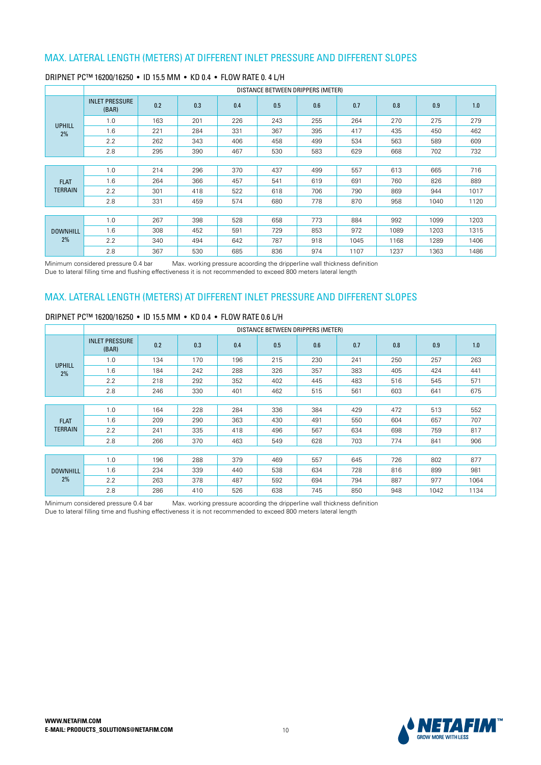|                 |                                |     |     |     |     | DISTANCE BETWEEN DRIPPERS (METER) |      |      |      |      |
|-----------------|--------------------------------|-----|-----|-----|-----|-----------------------------------|------|------|------|------|
|                 | <b>INLET PRESSURE</b><br>(BAR) | 0.2 | 0.3 | 0.4 | 0.5 | 0.6                               | 0.7  | 0.8  | 0.9  | 1.0  |
| <b>UPHILL</b>   | 1.0                            | 163 | 201 | 226 | 243 | 255                               | 264  | 270  | 275  | 279  |
| 2%              | 1.6                            | 221 | 284 | 331 | 367 | 395                               | 417  | 435  | 450  | 462  |
|                 | 2.2                            | 262 | 343 | 406 | 458 | 499                               | 534  | 563  | 589  | 609  |
|                 | 2.8                            | 295 | 390 | 467 | 530 | 583                               | 629  | 668  | 702  | 732  |
|                 |                                |     |     |     |     |                                   |      |      |      |      |
|                 | 1.0                            | 214 | 296 | 370 | 437 | 499                               | 557  | 613  | 665  | 716  |
| <b>FLAT</b>     | 1.6                            | 264 | 366 | 457 | 541 | 619                               | 691  | 760  | 826  | 889  |
| <b>TERRAIN</b>  | 2.2                            | 301 | 418 | 522 | 618 | 706                               | 790  | 869  | 944  | 1017 |
|                 | 2.8                            | 331 | 459 | 574 | 680 | 778                               | 870  | 958  | 1040 | 1120 |
|                 |                                |     |     |     |     |                                   |      |      |      |      |
|                 | 1.0                            | 267 | 398 | 528 | 658 | 773                               | 884  | 992  | 1099 | 1203 |
| <b>DOWNHILL</b> | 1.6                            | 308 | 452 | 591 | 729 | 853                               | 972  | 1089 | 1203 | 1315 |
| 2%              | 2.2                            | 340 | 494 | 642 | 787 | 918                               | 1045 | 1168 | 1289 | 1406 |
|                 | 2.8                            | 367 | 530 | 685 | 836 | 974                               | 1107 | 1237 | 1363 | 1486 |

#### DRIPNET PC™ 16200/16250 · ID 15.5 MM · KD 0.4 · FLOW RATE 0.4 L/H

Minimum considered pressure 0.4 bar Max. working pressure acoording the dripperline wall thickness definition Due to lateral filling time and flushing effectiveness it is not recommended to exceed 800 meters lateral length

## MAX. LATERAL LENGTH (METERS) AT DIFFERENT INLET PRESSURE AND DIFFERENT SLOPES

#### DRIPNET PC™ 16200/16250 · ID 15.5 MM · KD 0.4 · FLOW RATE 0.6 L/H

|                 |                                |     |     |     |     | DISTANCE BETWEEN DRIPPERS (METER) |     |     |      |      |
|-----------------|--------------------------------|-----|-----|-----|-----|-----------------------------------|-----|-----|------|------|
|                 | <b>INLET PRESSURE</b><br>(BAR) | 0.2 | 0.3 | 0.4 | 0.5 | 0.6                               | 0.7 | 0.8 | 0.9  | 1.0  |
| <b>UPHILL</b>   | 1.0                            | 134 | 170 | 196 | 215 | 230                               | 241 | 250 | 257  | 263  |
| 2%              | 1.6                            | 184 | 242 | 288 | 326 | 357                               | 383 | 405 | 424  | 441  |
|                 | 2.2                            | 218 | 292 | 352 | 402 | 445                               | 483 | 516 | 545  | 571  |
|                 | 2.8                            | 246 | 330 | 401 | 462 | 515                               | 561 | 603 | 641  | 675  |
|                 |                                |     |     |     |     |                                   |     |     |      |      |
|                 | 1.0                            | 164 | 228 | 284 | 336 | 384                               | 429 | 472 | 513  | 552  |
| <b>FLAT</b>     | 1.6                            | 209 | 290 | 363 | 430 | 491                               | 550 | 604 | 657  | 707  |
| <b>TERRAIN</b>  | 2.2                            | 241 | 335 | 418 | 496 | 567                               | 634 | 698 | 759  | 817  |
|                 | 2.8                            | 266 | 370 | 463 | 549 | 628                               | 703 | 774 | 841  | 906  |
|                 |                                |     |     |     |     |                                   |     |     |      |      |
|                 | 1.0                            | 196 | 288 | 379 | 469 | 557                               | 645 | 726 | 802  | 877  |
| <b>DOWNHILL</b> | 1.6                            | 234 | 339 | 440 | 538 | 634                               | 728 | 816 | 899  | 981  |
| 2%              | 2.2                            | 263 | 378 | 487 | 592 | 694                               | 794 | 887 | 977  | 1064 |
|                 | 2.8                            | 286 | 410 | 526 | 638 | 745                               | 850 | 948 | 1042 | 1134 |

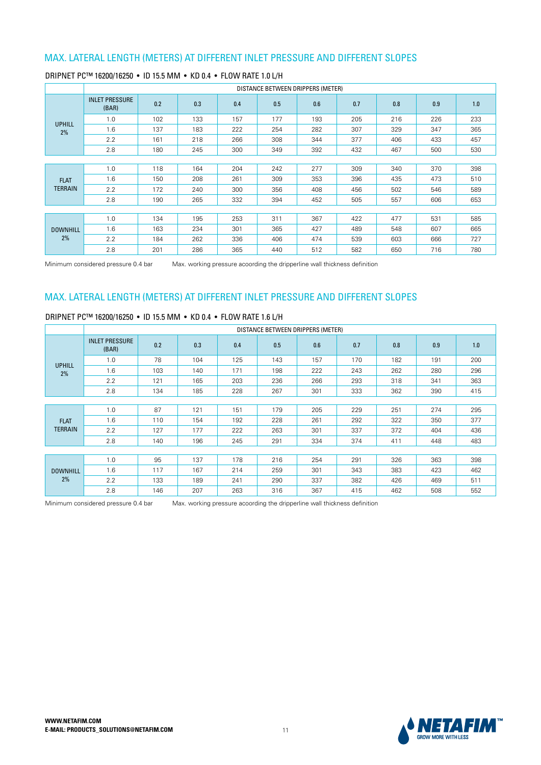|                 |                                |     |     |     | DISTANCE BETWEEN DRIPPERS (METER) |     |     |     |     |     |
|-----------------|--------------------------------|-----|-----|-----|-----------------------------------|-----|-----|-----|-----|-----|
|                 | <b>INLET PRESSURE</b><br>(BAR) | 0.2 | 0.3 | 0.4 | 0.5                               | 0.6 | 0.7 | 0.8 | 0.9 | 1.0 |
| <b>UPHILL</b>   | 1.0                            | 102 | 133 | 157 | 177                               | 193 | 205 | 216 | 226 | 233 |
| 2%              | 1.6                            | 137 | 183 | 222 | 254                               | 282 | 307 | 329 | 347 | 365 |
|                 | 2.2                            | 161 | 218 | 266 | 308                               | 344 | 377 | 406 | 433 | 457 |
|                 | 2.8                            | 180 | 245 | 300 | 349                               | 392 | 432 | 467 | 500 | 530 |
|                 |                                |     |     |     |                                   |     |     |     |     |     |
|                 | 1.0                            | 118 | 164 | 204 | 242                               | 277 | 309 | 340 | 370 | 398 |
| <b>FLAT</b>     | 1.6                            | 150 | 208 | 261 | 309                               | 353 | 396 | 435 | 473 | 510 |
| TERRAIN         | 2.2                            | 172 | 240 | 300 | 356                               | 408 | 456 | 502 | 546 | 589 |
|                 | 2.8                            | 190 | 265 | 332 | 394                               | 452 | 505 | 557 | 606 | 653 |
|                 |                                |     |     |     |                                   |     |     |     |     |     |
|                 | 1.0                            | 134 | 195 | 253 | 311                               | 367 | 422 | 477 | 531 | 585 |
| <b>DOWNHILL</b> | 1.6                            | 163 | 234 | 301 | 365                               | 427 | 489 | 548 | 607 | 665 |
| 2%              | 2.2                            | 184 | 262 | 336 | 406                               | 474 | 539 | 603 | 666 | 727 |
|                 | 2.8                            | 201 | 286 | 365 | 440                               | 512 | 582 | 650 | 716 | 780 |

### DRIPNET PC™ 16200/16250 • ID 15.5 MM • KD 0.4 • FLOW RATE 1.0 L/H

Minimum considered pressure 0.4 bar Max. working pressure acoording the dripperline wall thickness definition

### MAX. LATERAL LENGTH (METERS) AT DIFFERENT INLET PRESSURE AND DIFFERENT SLOPES

#### DRIPNET PC™ 16200/16250 · ID 15.5 MM · KD 0.4 · FLOW RATE 1.6 L/H

|                 |                                |     |     |     | DISTANCE BETWEEN DRIPPERS (METER) |     |     |     |     |     |
|-----------------|--------------------------------|-----|-----|-----|-----------------------------------|-----|-----|-----|-----|-----|
|                 | <b>INLET PRESSURE</b><br>(BAR) | 0.2 | 0.3 | 0.4 | 0.5                               | 0.6 | 0.7 | 0.8 | 0.9 | 1.0 |
| <b>UPHILL</b>   | 1.0                            | 78  | 104 | 125 | 143                               | 157 | 170 | 182 | 191 | 200 |
| 2%              | 1.6                            | 103 | 140 | 171 | 198                               | 222 | 243 | 262 | 280 | 296 |
|                 | 2.2                            | 121 | 165 | 203 | 236                               | 266 | 293 | 318 | 341 | 363 |
|                 | 2.8                            | 134 | 185 | 228 | 267                               | 301 | 333 | 362 | 390 | 415 |
|                 |                                |     |     |     |                                   |     |     |     |     |     |
|                 | 1.0                            | 87  | 121 | 151 | 179                               | 205 | 229 | 251 | 274 | 295 |
| <b>FLAT</b>     | 1.6                            | 110 | 154 | 192 | 228                               | 261 | 292 | 322 | 350 | 377 |
| <b>TERRAIN</b>  | 2.2                            | 127 | 177 | 222 | 263                               | 301 | 337 | 372 | 404 | 436 |
|                 | 2.8                            | 140 | 196 | 245 | 291                               | 334 | 374 | 411 | 448 | 483 |
|                 |                                |     |     |     |                                   |     |     |     |     |     |
|                 | 1.0                            | 95  | 137 | 178 | 216                               | 254 | 291 | 326 | 363 | 398 |
| <b>DOWNHILL</b> | 1.6                            | 117 | 167 | 214 | 259                               | 301 | 343 | 383 | 423 | 462 |
| 2%              | 2.2                            | 133 | 189 | 241 | 290                               | 337 | 382 | 426 | 469 | 511 |
|                 | 2.8                            | 146 | 207 | 263 | 316                               | 367 | 415 | 462 | 508 | 552 |

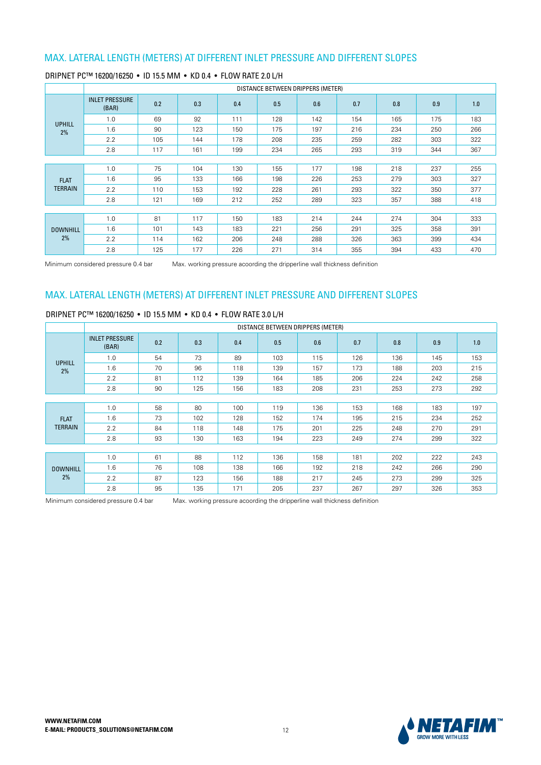|                 |                                |     |     |     | DISTANCE BETWEEN DRIPPERS (METER) |     |     |     |     |     |
|-----------------|--------------------------------|-----|-----|-----|-----------------------------------|-----|-----|-----|-----|-----|
|                 | <b>INLET PRESSURE</b><br>(BAR) | 0.2 | 0.3 | 0.4 | 0.5                               | 0.6 | 0.7 | 0.8 | 0.9 | 1.0 |
| <b>UPHILL</b>   | 1.0                            | 69  | 92  | 111 | 128                               | 142 | 154 | 165 | 175 | 183 |
| 2%              | 1.6                            | 90  | 123 | 150 | 175                               | 197 | 216 | 234 | 250 | 266 |
|                 | 2.2                            | 105 | 144 | 178 | 208                               | 235 | 259 | 282 | 303 | 322 |
|                 | 2.8                            | 117 | 161 | 199 | 234                               | 265 | 293 | 319 | 344 | 367 |
|                 |                                |     |     |     |                                   |     |     |     |     |     |
|                 | 1.0                            | 75  | 104 | 130 | 155                               | 177 | 198 | 218 | 237 | 255 |
| <b>FLAT</b>     | 1.6                            | 95  | 133 | 166 | 198                               | 226 | 253 | 279 | 303 | 327 |
| TERRAIN         | 2.2                            | 110 | 153 | 192 | 228                               | 261 | 293 | 322 | 350 | 377 |
|                 | 2.8                            | 121 | 169 | 212 | 252                               | 289 | 323 | 357 | 388 | 418 |
|                 |                                |     |     |     |                                   |     |     |     |     |     |
|                 | 1.0                            | 81  | 117 | 150 | 183                               | 214 | 244 | 274 | 304 | 333 |
| <b>DOWNHILL</b> | 1.6                            | 101 | 143 | 183 | 221                               | 256 | 291 | 325 | 358 | 391 |
| 2%              | 2.2                            | 114 | 162 | 206 | 248                               | 288 | 326 | 363 | 399 | 434 |
|                 | 2.8                            | 125 | 177 | 226 | 271                               | 314 | 355 | 394 | 433 | 470 |

### DRIPNET PC™ 16200/16250 • ID 15.5 MM • KD 0.4 • FLOW RATE 2.0 L/H

Minimum considered pressure 0.4 bar Max. working pressure acoording the dripperline wall thickness definition

# MAX. LATERAL LENGTH (METERS) AT DIFFERENT INLET PRESSURE AND DIFFERENT SLOPES

### DRIPNET PC™ 16200/16250 • ID 15.5 MM • KD 0.4 • FLOW BATE 3.0 L/H

|                 |                                |     |     |     | DISTANCE BETWEEN DRIPPERS (METER) |     |     |     |     |     |
|-----------------|--------------------------------|-----|-----|-----|-----------------------------------|-----|-----|-----|-----|-----|
|                 | <b>INLET PRESSURE</b><br>(BAR) | 0.2 | 0.3 | 0.4 | 0.5                               | 0.6 | 0.7 | 0.8 | 0.9 | 1.0 |
| <b>UPHILL</b>   | 1.0                            | 54  | 73  | 89  | 103                               | 115 | 126 | 136 | 145 | 153 |
| 2%              | 1.6                            | 70  | 96  | 118 | 139                               | 157 | 173 | 188 | 203 | 215 |
|                 | 2.2                            | 81  | 112 | 139 | 164                               | 185 | 206 | 224 | 242 | 258 |
|                 | 2.8                            | 90  | 125 | 156 | 183                               | 208 | 231 | 253 | 273 | 292 |
|                 |                                |     |     |     |                                   |     |     |     |     |     |
|                 | 1.0                            | 58  | 80  | 100 | 119                               | 136 | 153 | 168 | 183 | 197 |
| <b>FLAT</b>     | 1.6                            | 73  | 102 | 128 | 152                               | 174 | 195 | 215 | 234 | 252 |
| TERRAIN         | 2.2                            | 84  | 118 | 148 | 175                               | 201 | 225 | 248 | 270 | 291 |
|                 | 2.8                            | 93  | 130 | 163 | 194                               | 223 | 249 | 274 | 299 | 322 |
|                 |                                |     |     |     |                                   |     |     |     |     |     |
|                 | 1.0                            | 61  | 88  | 112 | 136                               | 158 | 181 | 202 | 222 | 243 |
| <b>DOWNHILL</b> | 1.6                            | 76  | 108 | 138 | 166                               | 192 | 218 | 242 | 266 | 290 |
| 2%              | 2.2                            | 87  | 123 | 156 | 188                               | 217 | 245 | 273 | 299 | 325 |
|                 | 2.8                            | 95  | 135 | 171 | 205                               | 237 | 267 | 297 | 326 | 353 |

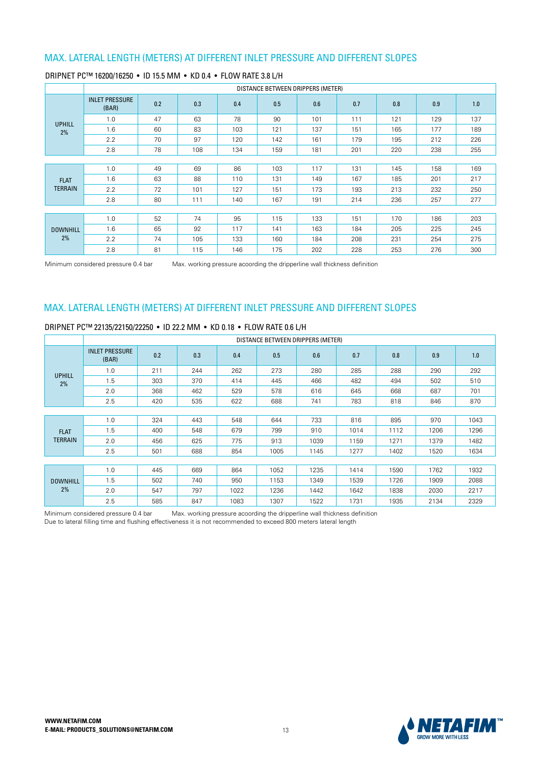|                 |                                |     |     |     | DISTANCE BETWEEN DRIPPERS (METER) |     |     |     |     |     |
|-----------------|--------------------------------|-----|-----|-----|-----------------------------------|-----|-----|-----|-----|-----|
|                 | <b>INLET PRESSURE</b><br>(BAR) | 0.2 | 0.3 | 0.4 | 0.5                               | 0.6 | 0.7 | 0.8 | 0.9 | 1.0 |
| <b>UPHILL</b>   | 1.0                            | 47  | 63  | 78  | 90                                | 101 | 111 | 121 | 129 | 137 |
| 2%              | 1.6                            | 60  | 83  | 103 | 121                               | 137 | 151 | 165 | 177 | 189 |
|                 | 2.2                            | 70  | 97  | 120 | 142                               | 161 | 179 | 195 | 212 | 226 |
|                 | 2.8                            | 78  | 108 | 134 | 159                               | 181 | 201 | 220 | 238 | 255 |
|                 |                                |     |     |     |                                   |     |     |     |     |     |
|                 | 1.0                            | 49  | 69  | 86  | 103                               | 117 | 131 | 145 | 158 | 169 |
| <b>FLAT</b>     | 1.6                            | 63  | 88  | 110 | 131                               | 149 | 167 | 185 | 201 | 217 |
| <b>TERRAIN</b>  | 2.2                            | 72  | 101 | 127 | 151                               | 173 | 193 | 213 | 232 | 250 |
|                 | 2.8                            | 80  | 111 | 140 | 167                               | 191 | 214 | 236 | 257 | 277 |
|                 |                                |     |     |     |                                   |     |     |     |     |     |
|                 | 1.0                            | 52  | 74  | 95  | 115                               | 133 | 151 | 170 | 186 | 203 |
| <b>DOWNHILL</b> | 1.6                            | 65  | 92  | 117 | 141                               | 163 | 184 | 205 | 225 | 245 |
| 2%              | 2.2                            | 74  | 105 | 133 | 160                               | 184 | 208 | 231 | 254 | 275 |
|                 | 2.8                            | 81  | 115 | 146 | 175                               | 202 | 228 | 253 | 276 | 300 |

### DRIPNET PC™ 16200/16250 • ID 15.5 MM • KD 0.4 • FLOW RATE 3.8 L/H

Minimum considered pressure 0.4 bar Max. working pressure acoording the dripperline wall thickness definition

### MAX. LATERAL LENGTH (METERS) AT DIFFERENT INLET PRESSURE AND DIFFERENT SLOPES

#### DRIPNET PC™ 22135/22150/22250 · ID 22.2 MM · KD 0.18 · FLOW RATE 0.6 L/H

|                 |                                |     |     |      | DISTANCE BETWEEN DRIPPERS (METER) |      |      |      |      |      |
|-----------------|--------------------------------|-----|-----|------|-----------------------------------|------|------|------|------|------|
|                 | <b>INLET PRESSURE</b><br>(BAR) | 0.2 | 0.3 | 0.4  | 0.5                               | 0.6  | 0.7  | 0.8  | 0.9  | 1.0  |
| <b>UPHILL</b>   | 1.0                            | 211 | 244 | 262  | 273                               | 280  | 285  | 288  | 290  | 292  |
| 2%              | 1.5                            | 303 | 370 | 414  | 445                               | 466  | 482  | 494  | 502  | 510  |
|                 | 2.0                            | 368 | 462 | 529  | 578                               | 616  | 645  | 668  | 687  | 701  |
|                 | 2.5                            | 420 | 535 | 622  | 688                               | 741  | 783  | 818  | 846  | 870  |
|                 |                                |     |     |      |                                   |      |      |      |      |      |
|                 | 1.0                            | 324 | 443 | 548  | 644                               | 733  | 816  | 895  | 970  | 1043 |
| <b>FLAT</b>     | 1.5                            | 400 | 548 | 679  | 799                               | 910  | 1014 | 1112 | 1206 | 1296 |
| <b>TERRAIN</b>  | 2.0                            | 456 | 625 | 775  | 913                               | 1039 | 1159 | 1271 | 1379 | 1482 |
|                 | 2.5                            | 501 | 688 | 854  | 1005                              | 1145 | 1277 | 1402 | 1520 | 1634 |
|                 |                                |     |     |      |                                   |      |      |      |      |      |
|                 | 1.0                            | 445 | 669 | 864  | 1052                              | 1235 | 1414 | 1590 | 1762 | 1932 |
| <b>DOWNHILL</b> | 1.5                            | 502 | 740 | 950  | 1153                              | 1349 | 1539 | 1726 | 1909 | 2088 |
| 2%              | 2.0                            | 547 | 797 | 1022 | 1236                              | 1442 | 1642 | 1838 | 2030 | 2217 |
|                 | 2.5                            | 585 | 847 | 1083 | 1307                              | 1522 | 1731 | 1935 | 2134 | 2329 |

Minimum considered pressure 0.4 bar Max, working pressure acoording the dripperline wall thickness definition less that the methods are considered to recommended to exceed 800 meters lateral length<br>Due to lateral filling time and flushing effectiveness it is not recommended to exceed 800 meters lateral length

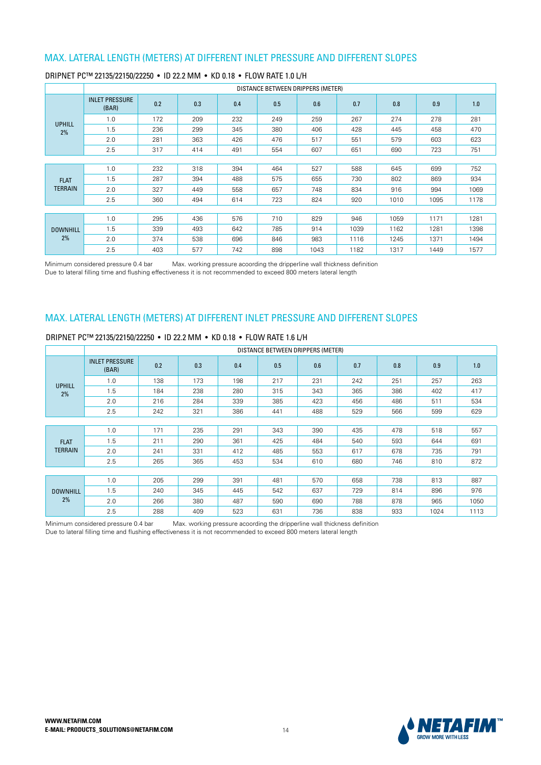|                 |                                |     |     |     | DISTANCE BETWEEN DRIPPERS (METER) |      |      |      |      |      |
|-----------------|--------------------------------|-----|-----|-----|-----------------------------------|------|------|------|------|------|
|                 | <b>INLET PRESSURE</b><br>(BAR) | 0.2 | 0.3 | 0.4 | 0.5                               | 0.6  | 0.7  | 0.8  | 0.9  | 1.0  |
| <b>UPHILL</b>   | 1.0                            | 172 | 209 | 232 | 249                               | 259  | 267  | 274  | 278  | 281  |
| 2%              | 1.5                            | 236 | 299 | 345 | 380                               | 406  | 428  | 445  | 458  | 470  |
|                 | 2.0                            | 281 | 363 | 426 | 476                               | 517  | 551  | 579  | 603  | 623  |
|                 | 2.5                            | 317 | 414 | 491 | 554                               | 607  | 651  | 690  | 723  | 751  |
|                 |                                |     |     |     |                                   |      |      |      |      |      |
|                 | 1.0                            | 232 | 318 | 394 | 464                               | 527  | 588  | 645  | 699  | 752  |
| <b>FLAT</b>     | 1.5                            | 287 | 394 | 488 | 575                               | 655  | 730  | 802  | 869  | 934  |
| <b>TERRAIN</b>  | 2.0                            | 327 | 449 | 558 | 657                               | 748  | 834  | 916  | 994  | 1069 |
|                 | 2.5                            | 360 | 494 | 614 | 723                               | 824  | 920  | 1010 | 1095 | 1178 |
|                 |                                |     |     |     |                                   |      |      |      |      |      |
|                 | 1.0                            | 295 | 436 | 576 | 710                               | 829  | 946  | 1059 | 1171 | 1281 |
| <b>DOWNHILL</b> | 1.5                            | 339 | 493 | 642 | 785                               | 914  | 1039 | 1162 | 1281 | 1398 |
| 2%              | 2.0                            | 374 | 538 | 696 | 846                               | 983  | 1116 | 1245 | 1371 | 1494 |
|                 | 2.5                            | 403 | 577 | 742 | 898                               | 1043 | 1182 | 1317 | 1449 | 1577 |

#### DRIPNET PC™ 22135/22150/22250 · ID 22.2 MM · KD 0.18 · FLOW RATE 1.0 L/H

Minimum considered pressure 0.4 bar Max. working pressure acoording the dripperline wall thickness definition Due to lateral filling time and flushing effectiveness it is not recommended to exceed 800 meters lateral length

### MAX. LATERAL LENGTH (METERS) AT DIFFERENT INLET PRESSURE AND DIFFERENT SLOPES

### DRIPNET PC™ 22135/22150/22250 · ID 22.2 MM · KD 0.18 · FLOW RATE 1.6 L/H

|                 |                                |     |     |     |     | DISTANCE BETWEEN DRIPPERS (METER) |     |     |      |      |
|-----------------|--------------------------------|-----|-----|-----|-----|-----------------------------------|-----|-----|------|------|
|                 | <b>INLET PRESSURE</b><br>(BAR) | 0.2 | 0.3 | 0.4 | 0.5 | 0.6                               | 0.7 | 0.8 | 0.9  | 1.0  |
| <b>UPHILL</b>   | 1.0                            | 138 | 173 | 198 | 217 | 231                               | 242 | 251 | 257  | 263  |
| 2%              | 1.5                            | 184 | 238 | 280 | 315 | 343                               | 365 | 386 | 402  | 417  |
|                 | 2.0                            | 216 | 284 | 339 | 385 | 423                               | 456 | 486 | 511  | 534  |
|                 | 2.5                            | 242 | 321 | 386 | 441 | 488                               | 529 | 566 | 599  | 629  |
|                 |                                |     |     |     |     |                                   |     |     |      |      |
|                 | 1.0                            | 171 | 235 | 291 | 343 | 390                               | 435 | 478 | 518  | 557  |
| <b>FLAT</b>     | 1.5                            | 211 | 290 | 361 | 425 | 484                               | 540 | 593 | 644  | 691  |
| <b>TERRAIN</b>  | 2.0                            | 241 | 331 | 412 | 485 | 553                               | 617 | 678 | 735  | 791  |
|                 | 2.5                            | 265 | 365 | 453 | 534 | 610                               | 680 | 746 | 810  | 872  |
|                 |                                |     |     |     |     |                                   |     |     |      |      |
|                 | 1.0                            | 205 | 299 | 391 | 481 | 570                               | 658 | 738 | 813  | 887  |
| <b>DOWNHILL</b> | 1.5                            | 240 | 345 | 445 | 542 | 637                               | 729 | 814 | 896  | 976  |
| 2%              | 2.0                            | 266 | 380 | 487 | 590 | 690                               | 788 | 878 | 965  | 1050 |
|                 | 2.5                            | 288 | 409 | 523 | 631 | 736                               | 838 | 933 | 1024 | 1113 |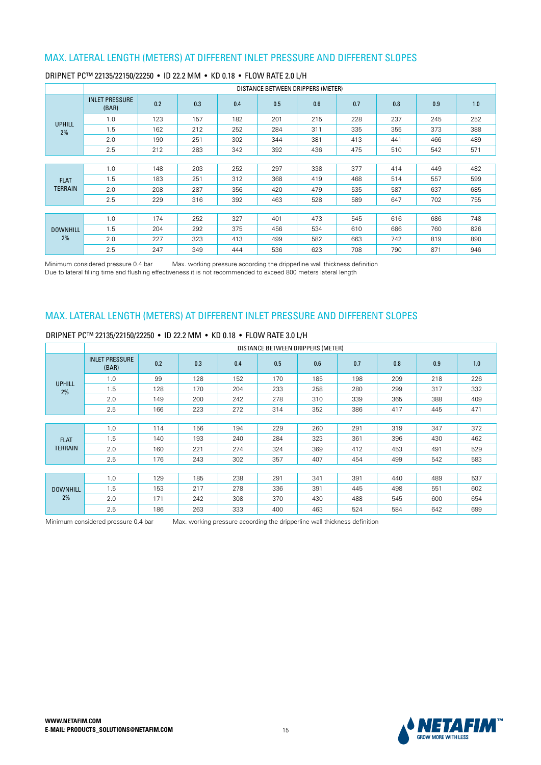|                 |                                |     |     |     | DISTANCE BETWEEN DRIPPERS (METER) |     |     |     |     |     |
|-----------------|--------------------------------|-----|-----|-----|-----------------------------------|-----|-----|-----|-----|-----|
|                 | <b>INLET PRESSURE</b><br>(BAR) | 0.2 | 0.3 | 0.4 | 0.5                               | 0.6 | 0.7 | 0.8 | 0.9 | 1.0 |
| <b>UPHILL</b>   | 1.0                            | 123 | 157 | 182 | 201                               | 215 | 228 | 237 | 245 | 252 |
| 2%              | 1.5                            | 162 | 212 | 252 | 284                               | 311 | 335 | 355 | 373 | 388 |
|                 | 2.0                            | 190 | 251 | 302 | 344                               | 381 | 413 | 441 | 466 | 489 |
|                 | 2.5                            | 212 | 283 | 342 | 392                               | 436 | 475 | 510 | 542 | 571 |
|                 |                                |     |     |     |                                   |     |     |     |     |     |
|                 | 1.0                            | 148 | 203 | 252 | 297                               | 338 | 377 | 414 | 449 | 482 |
| <b>FLAT</b>     | 1.5                            | 183 | 251 | 312 | 368                               | 419 | 468 | 514 | 557 | 599 |
| <b>TERRAIN</b>  | 2.0                            | 208 | 287 | 356 | 420                               | 479 | 535 | 587 | 637 | 685 |
|                 | 2.5                            | 229 | 316 | 392 | 463                               | 528 | 589 | 647 | 702 | 755 |
|                 |                                |     |     |     |                                   |     |     |     |     |     |
|                 | 1.0                            | 174 | 252 | 327 | 401                               | 473 | 545 | 616 | 686 | 748 |
| <b>DOWNHILL</b> | 1.5                            | 204 | 292 | 375 | 456                               | 534 | 610 | 686 | 760 | 826 |
| 2%              | 2.0                            | 227 | 323 | 413 | 499                               | 582 | 663 | 742 | 819 | 890 |
|                 | 2.5                            | 247 | 349 | 444 | 536                               | 623 | 708 | 790 | 871 | 946 |

#### DRIPNET PC™ 22135/22150/22250 · ID 22.2 MM · KD 0.18 · FLOW RATE 2.0 L/H

Minimum considered pressure 0.4 bar Max. working pressure acoording the dripperline wall thickness definition Due to lateral filling time and flushing effectiveness it is not recommended to exceed 800 meters lateral length

### MAX. LATERAL LENGTH (METERS) AT DIFFERENT INLET PRESSURE AND DIFFERENT SLOPES

### DRIPNET PC™ 22135/22150/22250 • ID 22.2 MM • KD 0.18 • FLOW RATE 3.0 L/H

|                 |                                |     |     |     |     | DISTANCE BETWEEN DRIPPERS (METER) |     |     |     |     |
|-----------------|--------------------------------|-----|-----|-----|-----|-----------------------------------|-----|-----|-----|-----|
|                 | <b>INLET PRESSURE</b><br>(BAR) | 0.2 | 0.3 | 0.4 | 0.5 | 0.6                               | 0.7 | 0.8 | 0.9 | 1.0 |
| <b>UPHILL</b>   | 1.0                            | 99  | 128 | 152 | 170 | 185                               | 198 | 209 | 218 | 226 |
| 2%              | 1.5                            | 128 | 170 | 204 | 233 | 258                               | 280 | 299 | 317 | 332 |
|                 | 2.0                            | 149 | 200 | 242 | 278 | 310                               | 339 | 365 | 388 | 409 |
|                 | 2.5                            | 166 | 223 | 272 | 314 | 352                               | 386 | 417 | 445 | 471 |
|                 |                                |     |     |     |     |                                   |     |     |     |     |
|                 | 1.0                            | 114 | 156 | 194 | 229 | 260                               | 291 | 319 | 347 | 372 |
| <b>FLAT</b>     | 1.5                            | 140 | 193 | 240 | 284 | 323                               | 361 | 396 | 430 | 462 |
| <b>TERRAIN</b>  | 2.0                            | 160 | 221 | 274 | 324 | 369                               | 412 | 453 | 491 | 529 |
|                 | 2.5                            | 176 | 243 | 302 | 357 | 407                               | 454 | 499 | 542 | 583 |
|                 |                                |     |     |     |     |                                   |     |     |     |     |
|                 | 1.0                            | 129 | 185 | 238 | 291 | 341                               | 391 | 440 | 489 | 537 |
| <b>DOWNHILL</b> | 1.5                            | 153 | 217 | 278 | 336 | 391                               | 445 | 498 | 551 | 602 |
| 2%              | 2.0                            | 171 | 242 | 308 | 370 | 430                               | 488 | 545 | 600 | 654 |
|                 | 2.5                            | 186 | 263 | 333 | 400 | 463                               | 524 | 584 | 642 | 699 |

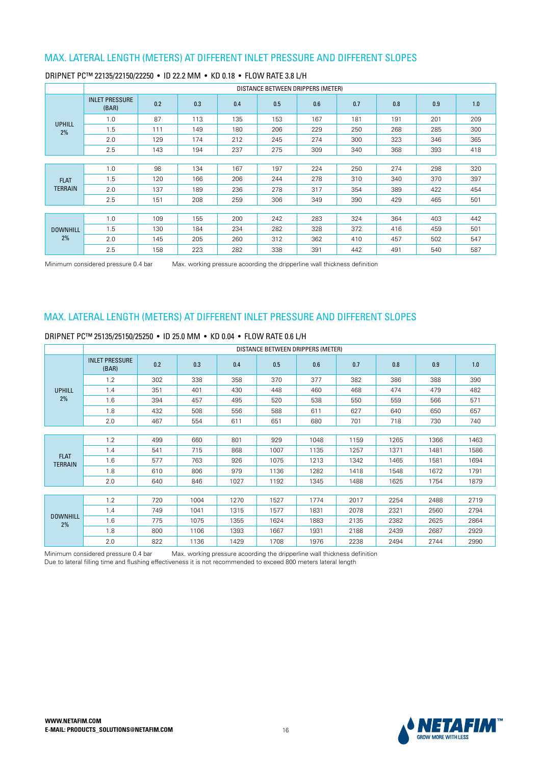|                 |                                |     |     |     |     | DISTANCE BETWEEN DRIPPERS (METER) |     |     |     |     |
|-----------------|--------------------------------|-----|-----|-----|-----|-----------------------------------|-----|-----|-----|-----|
|                 | <b>INLET PRESSURE</b><br>(BAR) | 0.2 | 0.3 | 0.4 | 0.5 | 0.6                               | 0.7 | 0.8 | 0.9 | 1.0 |
| <b>UPHILL</b>   | 1.0                            | 87  | 113 | 135 | 153 | 167                               | 181 | 191 | 201 | 209 |
| 2%              | 1.5                            | 111 | 149 | 180 | 206 | 229                               | 250 | 268 | 285 | 300 |
|                 | 2.0                            | 129 | 174 | 212 | 245 | 274                               | 300 | 323 | 346 | 365 |
|                 | 2.5                            | 143 | 194 | 237 | 275 | 309                               | 340 | 368 | 393 | 418 |
|                 |                                |     |     |     |     |                                   |     |     |     |     |
|                 | 1.0                            | 98  | 134 | 167 | 197 | 224                               | 250 | 274 | 298 | 320 |
| <b>FLAT</b>     | 1.5                            | 120 | 166 | 206 | 244 | 278                               | 310 | 340 | 370 | 397 |
| <b>TERRAIN</b>  | 2.0                            | 137 | 189 | 236 | 278 | 317                               | 354 | 389 | 422 | 454 |
|                 | 2.5                            | 151 | 208 | 259 | 306 | 349                               | 390 | 429 | 465 | 501 |
|                 |                                |     |     |     |     |                                   |     |     |     |     |
|                 | 1.0                            | 109 | 155 | 200 | 242 | 283                               | 324 | 364 | 403 | 442 |
| <b>DOWNHILL</b> | 1.5                            | 130 | 184 | 234 | 282 | 328                               | 372 | 416 | 459 | 501 |
| 2%              | 2.0                            | 145 | 205 | 260 | 312 | 362                               | 410 | 457 | 502 | 547 |
|                 | 2.5                            | 158 | 223 | 282 | 338 | 391                               | 442 | 491 | 540 | 587 |

#### DRIPNET PC™ 22135/22150/22250 · ID 22.2 MM · KD 0.18 · FLOW RATE 3.8 L/H

Minimum considered pressure 0.4 bar Max. working pressure acoording the dripperline wall thickness definition

### MAX. LATERAL LENGTH (METERS) AT DIFFERENT INLET PRESSURE AND DIFFERENT SLOPES

|                               |                                |     |      |      | DISTANCE BETWEEN DRIPPERS (METER) |      |      |      |      |      |
|-------------------------------|--------------------------------|-----|------|------|-----------------------------------|------|------|------|------|------|
|                               | <b>INLET PRESSURE</b><br>(BAR) | 0.2 | 0.3  | 0.4  | 0.5                               | 0.6  | 0.7  | 0.8  | 0.9  | 1.0  |
|                               | 1.2                            | 302 | 338  | 358  | 370                               | 377  | 382  | 386  | 388  | 390  |
| <b>UPHILL</b>                 | 1.4                            | 351 | 401  | 430  | 448                               | 460  | 468  | 474  | 479  | 482  |
| 2%                            | 1.6                            | 394 | 457  | 495  | 520                               | 538  | 550  | 559  | 566  | 571  |
|                               | 1.8                            | 432 | 508  | 556  | 588                               | 611  | 627  | 640  | 650  | 657  |
|                               | 2.0                            | 467 | 554  | 611  | 651                               | 680  | 701  | 718  | 730  | 740  |
|                               |                                |     |      |      |                                   |      |      |      |      |      |
|                               | 1.2                            | 499 | 660  | 801  | 929                               | 1048 | 1159 | 1265 | 1366 | 1463 |
|                               | 1.4                            | 541 | 715  | 868  | 1007                              | 1135 | 1257 | 1371 | 1481 | 1586 |
| <b>FLAT</b><br><b>TERRAIN</b> | 1.6                            | 577 | 763  | 926  | 1075                              | 1213 | 1342 | 1465 | 1581 | 1694 |
|                               | 1.8                            | 610 | 806  | 979  | 1136                              | 1282 | 1418 | 1548 | 1672 | 1791 |
|                               | 2.0                            | 640 | 846  | 1027 | 1192                              | 1345 | 1488 | 1625 | 1754 | 1879 |
|                               |                                |     |      |      |                                   |      |      |      |      |      |
|                               | 1.2                            | 720 | 1004 | 1270 | 1527                              | 1774 | 2017 | 2254 | 2488 | 2719 |
|                               | 1.4                            | 749 | 1041 | 1315 | 1577                              | 1831 | 2078 | 2321 | 2560 | 2794 |
| <b>DOWNHILL</b><br>2%         | 1.6                            | 775 | 1075 | 1355 | 1624                              | 1883 | 2135 | 2382 | 2625 | 2864 |
|                               | 1.8                            | 800 | 1106 | 1393 | 1667                              | 1931 | 2188 | 2439 | 2687 | 2929 |
|                               | 2.0                            | 822 | 1136 | 1429 | 1708                              | 1976 | 2238 | 2494 | 2744 | 2990 |

#### DRIPNET PC™ 25135/25150/25250 · ID 25.0 MM · KD 0.04 · FLOW RATE 0.6 L/H

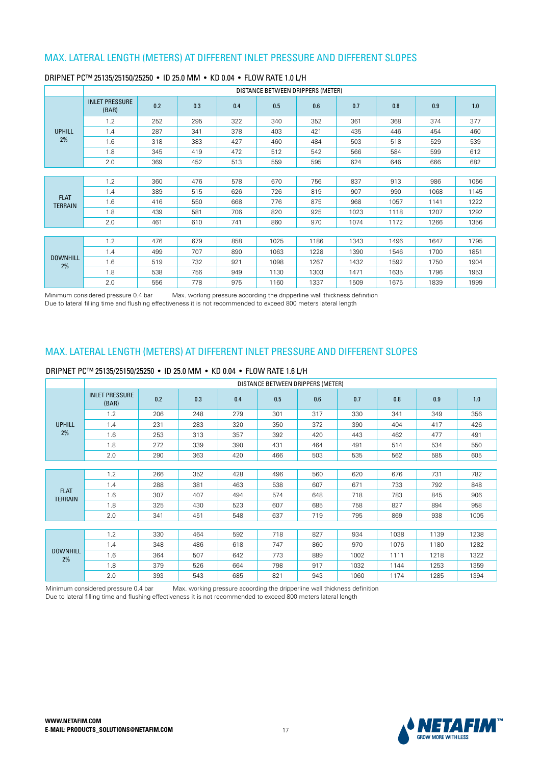|                               |                                |     |     |     |      | DISTANCE BETWEEN DRIPPERS (METER) |      |      |      |      |
|-------------------------------|--------------------------------|-----|-----|-----|------|-----------------------------------|------|------|------|------|
|                               | <b>INLET PRESSURE</b><br>(BAR) | 0.2 | 0.3 | 0.4 | 0.5  | 0.6                               | 0.7  | 0.8  | 0.9  | 1.0  |
|                               | 1.2                            | 252 | 295 | 322 | 340  | 352                               | 361  | 368  | 374  | 377  |
| <b>UPHILL</b>                 | 1.4                            | 287 | 341 | 378 | 403  | 421                               | 435  | 446  | 454  | 460  |
| 2%                            | 1.6                            | 318 | 383 | 427 | 460  | 484                               | 503  | 518  | 529  | 539  |
|                               | 1.8                            | 345 | 419 | 472 | 512  | 542                               | 566  | 584  | 599  | 612  |
|                               | 2.0                            | 369 | 452 | 513 | 559  | 595                               | 624  | 646  | 666  | 682  |
|                               |                                |     |     |     |      |                                   |      |      |      |      |
|                               | 1.2                            | 360 | 476 | 578 | 670  | 756                               | 837  | 913  | 986  | 1056 |
|                               | 1.4                            | 389 | 515 | 626 | 726  | 819                               | 907  | 990  | 1068 | 1145 |
| <b>FLAT</b><br><b>TERRAIN</b> | 1.6                            | 416 | 550 | 668 | 776  | 875                               | 968  | 1057 | 1141 | 1222 |
|                               | 1.8                            | 439 | 581 | 706 | 820  | 925                               | 1023 | 1118 | 1207 | 1292 |
|                               | 2.0                            | 461 | 610 | 741 | 860  | 970                               | 1074 | 1172 | 1266 | 1356 |
|                               |                                |     |     |     |      |                                   |      |      |      |      |
|                               | 1.2                            | 476 | 679 | 858 | 1025 | 1186                              | 1343 | 1496 | 1647 | 1795 |
|                               | 1.4                            | 499 | 707 | 890 | 1063 | 1228                              | 1390 | 1546 | 1700 | 1851 |
| <b>DOWNHILL</b><br>2%         | 1.6                            | 519 | 732 | 921 | 1098 | 1267                              | 1432 | 1592 | 1750 | 1904 |
|                               | 1.8                            | 538 | 756 | 949 | 1130 | 1303                              | 1471 | 1635 | 1796 | 1953 |
|                               | 2.0                            | 556 | 778 | 975 | 1160 | 1337                              | 1509 | 1675 | 1839 | 1999 |

#### DRIPNET PC™ 25135/25150/25250 · ID 25.0 MM · KD 0.04 · FLOW RATE 1.0 L/H

Minimum considered pressure 0.4 bar Max. working pressure acoording the dripperline wall thickness definition Due to lateral filling time and flushing effectiveness it is not recommended to exceed 800 meters lateral length

#### MAX. LATERAL LENGTH (METERS) AT DIFFERENT INLET PRESSURE AND DIFFERENT SLOPES

#### DRIPNET PC™ 25135/25150/25250 • ID 25.0 MM • KD 0.04 • FLOW RATE 1.6 L/H

|                               |                                |     |     |     | DISTANCE BETWEEN DRIPPERS (METER) |     |      |      |      |      |
|-------------------------------|--------------------------------|-----|-----|-----|-----------------------------------|-----|------|------|------|------|
|                               | <b>INLET PRESSURE</b><br>(BAR) | 0.2 | 0.3 | 0.4 | 0.5                               | 0.6 | 0.7  | 0.8  | 0.9  | 1.0  |
|                               | 1.2                            | 206 | 248 | 279 | 301                               | 317 | 330  | 341  | 349  | 356  |
| <b>UPHILL</b>                 | 1.4                            | 231 | 283 | 320 | 350                               | 372 | 390  | 404  | 417  | 426  |
| 2%                            | 1.6                            | 253 | 313 | 357 | 392                               | 420 | 443  | 462  | 477  | 491  |
|                               | 1.8                            | 272 | 339 | 390 | 431                               | 464 | 491  | 514  | 534  | 550  |
|                               | 2.0                            | 290 | 363 | 420 | 466                               | 503 | 535  | 562  | 585  | 605  |
|                               |                                |     |     |     |                                   |     |      |      |      |      |
|                               | 1.2                            | 266 | 352 | 428 | 496                               | 560 | 620  | 676  | 731  | 782  |
|                               | 1.4                            | 288 | 381 | 463 | 538                               | 607 | 671  | 733  | 792  | 848  |
| <b>FLAT</b><br><b>TERRAIN</b> | 1.6                            | 307 | 407 | 494 | 574                               | 648 | 718  | 783  | 845  | 906  |
|                               | 1.8                            | 325 | 430 | 523 | 607                               | 685 | 758  | 827  | 894  | 958  |
|                               | 2.0                            | 341 | 451 | 548 | 637                               | 719 | 795  | 869  | 938  | 1005 |
|                               |                                |     |     |     |                                   |     |      |      |      |      |
|                               | 1.2                            | 330 | 464 | 592 | 718                               | 827 | 934  | 1038 | 1139 | 1238 |
|                               | 1.4                            | 348 | 486 | 618 | 747                               | 860 | 970  | 1076 | 1180 | 1282 |
| <b>DOWNHILL</b><br>2%         | 1.6                            | 364 | 507 | 642 | 773                               | 889 | 1002 | 1111 | 1218 | 1322 |
|                               | 1.8                            | 379 | 526 | 664 | 798                               | 917 | 1032 | 1144 | 1253 | 1359 |
|                               | 2.0                            | 393 | 543 | 685 | 821                               | 943 | 1060 | 1174 | 1285 | 1394 |

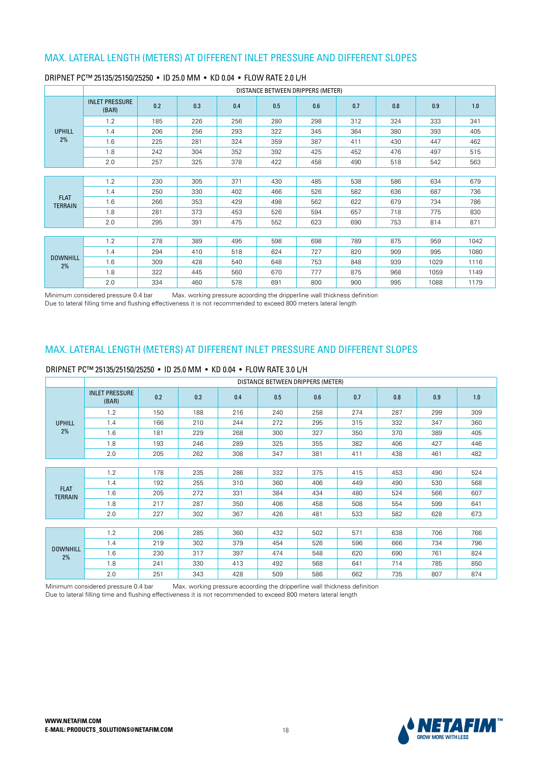|                               |                                |     |     |     | DISTANCE BETWEEN DRIPPERS (METER) |     |     |     |      |      |
|-------------------------------|--------------------------------|-----|-----|-----|-----------------------------------|-----|-----|-----|------|------|
|                               | <b>INLET PRESSURE</b><br>(BAR) | 0.2 | 0.3 | 0.4 | 0.5                               | 0.6 | 0.7 | 0.8 | 0.9  | 1.0  |
|                               | 1.2                            | 185 | 226 | 256 | 280                               | 298 | 312 | 324 | 333  | 341  |
| <b>UPHILL</b>                 | 1.4                            | 206 | 256 | 293 | 322                               | 345 | 364 | 380 | 393  | 405  |
| 2%                            | 1.6                            | 225 | 281 | 324 | 359                               | 387 | 411 | 430 | 447  | 462  |
|                               | 1.8                            | 242 | 304 | 352 | 392                               | 425 | 452 | 476 | 497  | 515  |
|                               | 2.0                            | 257 | 325 | 378 | 422                               | 458 | 490 | 518 | 542  | 563  |
|                               |                                |     |     |     |                                   |     |     |     |      |      |
|                               | 1.2                            | 230 | 305 | 371 | 430                               | 485 | 538 | 586 | 634  | 679  |
|                               | 1.4                            | 250 | 330 | 402 | 466                               | 526 | 582 | 636 | 687  | 736  |
| <b>FLAT</b><br><b>TERRAIN</b> | 1.6                            | 266 | 353 | 429 | 498                               | 562 | 622 | 679 | 734  | 786  |
|                               | 1.8                            | 281 | 373 | 453 | 526                               | 594 | 657 | 718 | 775  | 830  |
|                               | 2.0                            | 295 | 391 | 475 | 552                               | 623 | 690 | 753 | 814  | 871  |
|                               |                                |     |     |     |                                   |     |     |     |      |      |
|                               | 1.2                            | 278 | 389 | 495 | 598                               | 698 | 789 | 875 | 959  | 1042 |
|                               | 1.4                            | 294 | 410 | 518 | 624                               | 727 | 820 | 909 | 995  | 1080 |
| <b>DOWNHILL</b><br>2%         | 1.6                            | 309 | 428 | 540 | 648                               | 753 | 848 | 939 | 1029 | 1116 |
|                               | 1.8                            | 322 | 445 | 560 | 670                               | 777 | 875 | 968 | 1059 | 1149 |
|                               | 2.0                            | 334 | 460 | 578 | 691                               | 800 | 900 | 995 | 1088 | 1179 |

#### DRIPNET PC™ 25135/25150/25250 · ID 25.0 MM · KD 0.04 · FLOW RATE 2.0 L/H

Minimum considered pressure 0.4 bar Max. working pressure acoording the dripperline wall thickness definition Due to lateral filling time and flushing effectiveness it is not recommended to exceed 800 meters lateral length

### MAX. LATERAL LENGTH (METERS) AT DIFFERENT INLET PRESSURE AND DIFFERENT SLOPES

#### DRIPNET PC™ 25135/25150/25250 · ID 25.0 MM · KD 0.04 · FLOW RATE 3.0 L/H

|                               |                                |     |     |     | DISTANCE BETWEEN DRIPPERS (METER) |     |     |     |     |     |
|-------------------------------|--------------------------------|-----|-----|-----|-----------------------------------|-----|-----|-----|-----|-----|
|                               | <b>INLET PRESSURE</b><br>(BAR) | 0.2 | 0.3 | 0.4 | 0.5                               | 0.6 | 0.7 | 0.8 | 0.9 | 1.0 |
|                               | 1.2                            | 150 | 188 | 216 | 240                               | 258 | 274 | 287 | 299 | 309 |
| <b>UPHILL</b>                 | 1.4                            | 166 | 210 | 244 | 272                               | 295 | 315 | 332 | 347 | 360 |
| 2%                            | 1.6                            | 181 | 229 | 268 | 300                               | 327 | 350 | 370 | 389 | 405 |
|                               | 1.8                            | 193 | 246 | 289 | 325                               | 355 | 382 | 406 | 427 | 446 |
|                               | 2.0                            | 205 | 262 | 308 | 347                               | 381 | 411 | 438 | 461 | 482 |
|                               |                                |     |     |     |                                   |     |     |     |     |     |
|                               | 1.2                            | 178 | 235 | 286 | 332                               | 375 | 415 | 453 | 490 | 524 |
|                               | 1.4                            | 192 | 255 | 310 | 360                               | 406 | 449 | 490 | 530 | 568 |
| <b>FLAT</b><br><b>TERRAIN</b> | 1.6                            | 205 | 272 | 331 | 384                               | 434 | 480 | 524 | 566 | 607 |
|                               | 1.8                            | 217 | 287 | 350 | 406                               | 458 | 508 | 554 | 599 | 641 |
|                               | 2.0                            | 227 | 302 | 367 | 426                               | 481 | 533 | 582 | 628 | 673 |
|                               |                                |     |     |     |                                   |     |     |     |     |     |
|                               | 1.2                            | 206 | 285 | 360 | 432                               | 502 | 571 | 638 | 706 | 766 |
|                               | 1.4                            | 219 | 302 | 379 | 454                               | 526 | 596 | 666 | 734 | 796 |
| <b>DOWNHILL</b><br>2%         | 1.6                            | 230 | 317 | 397 | 474                               | 548 | 620 | 690 | 761 | 824 |
|                               | 1.8                            | 241 | 330 | 413 | 492                               | 568 | 641 | 714 | 785 | 850 |
|                               | 2.0                            | 251 | 343 | 428 | 509                               | 586 | 662 | 735 | 807 | 874 |